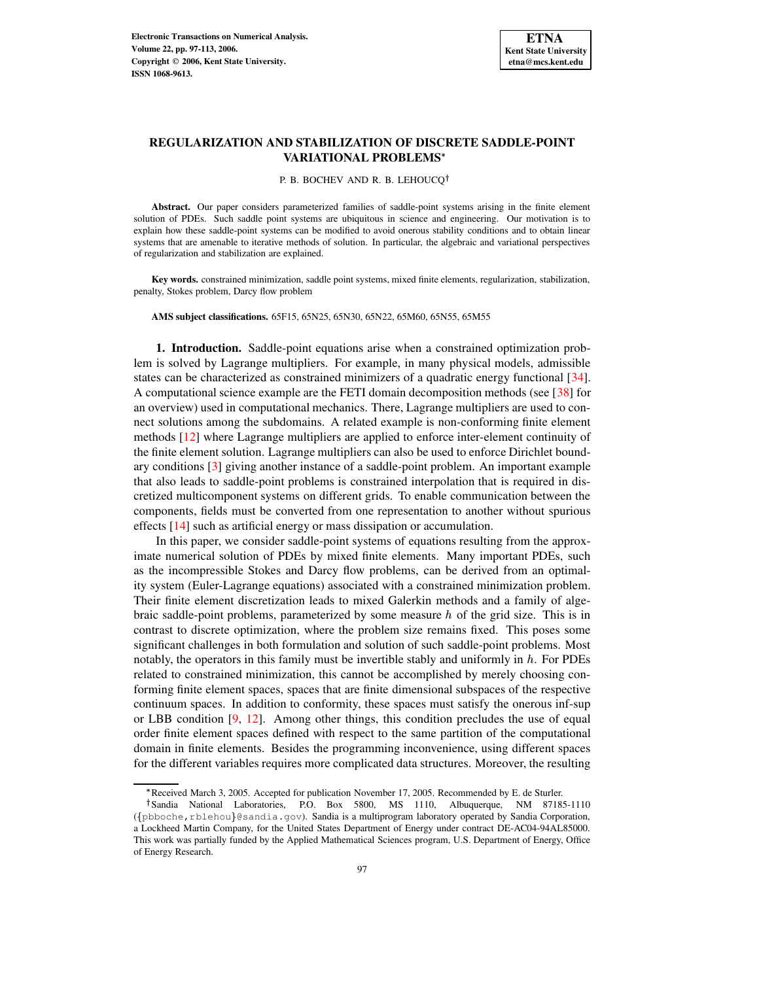

# **REGULARIZATION AND STABILIZATION OF DISCRETE SADDLE-POINT VARIATIONAL PROBLEMS**

#### P. B. BOCHEV AND R. B. LEHOUCQ<sup>†</sup>

**Abstract.** Our paper considers parameterized families of saddle-point systems arising in the finite element solution of PDEs. Such saddle point systems are ubiquitous in science and engineering. Our motivation is to explain how these saddle-point systems can be modified to avoid onerous stability conditions and to obtain linear systems that are amenable to iterative methods of solution. In particular, the algebraic and variational perspectives of regularization and stabilization are explained.

**Key words.** constrained minimization, saddle point systems, mixed finite elements, regularization, stabilization, penalty, Stokes problem, Darcy flow problem

**AMS subject classifications.** 65F15, 65N25, 65N30, 65N22, 65M60, 65N55, 65M55

**1. Introduction.** Saddle-point equations arise when a constrained optimization problem is solved by Lagrange multipliers. For example, in many physical models, admissible states can be characterized as constrained minimizers of a quadratic energy functional [\[34\]](#page-16-0). A computational science example are the FETI domain decomposition methods (see [\[38\]](#page-16-1) for an overview) used in computational mechanics. There, Lagrange multipliers are used to connect solutions among the subdomains. A related example is non-conforming finite element methods [\[12\]](#page-15-0) where Lagrange multipliers are applied to enforce inter-element continuity of the finite element solution. Lagrange multipliers can also be used to enforce Dirichlet boundary conditions [\[3\]](#page-15-1) giving another instance of a saddle-point problem. An important example that also leads to saddle-point problems is constrained interpolation that is required in discretized multicomponent systems on different grids. To enable communication between the components, fields must be converted from one representation to another without spurious effects [\[14\]](#page-15-2) such as artificial energy or mass dissipation or accumulation.

In this paper, we consider saddle-point systems of equations resulting from the approximate numerical solution of PDEs by mixed finite elements. Many important PDEs, such as the incompressible Stokes and Darcy flow problems, can be derived from an optimality system (Euler-Lagrange equations) associated with a constrained minimization problem. Their finite element discretization leads to mixed Galerkin methods and a family of algebraic saddle-point problems, parameterized by some measure  $h$  of the grid size. This is in contrast to discrete optimization, where the problem size remains fixed. This poses some significant challenges in both formulation and solution of such saddle-point problems. Most notably, the operators in this family must be invertible stably and uniformly in  $h$ . For PDEs related to constrained minimization, this cannot be accomplished by merely choosing conforming finite element spaces, spaces that are finite dimensional subspaces of the respective continuum spaces. In addition to conformity, these spaces must satisfy the onerous inf-sup or LBB condition [\[9,](#page-15-3) [12\]](#page-15-0). Among other things, this condition precludes the use of equal order finite element spaces defined with respect to the same partition of the computational domain in finite elements. Besides the programming inconvenience, using different spaces for the different variables requires more complicated data structures. Moreover, the resulting

<sup>\*</sup> Received March 3, 2005. Accepted for publication November 17, 2005. Recommended by E. de Sturler.

<sup>&</sup>lt;sup>†</sup>Sandia National Laboratories, P.O. Box 5800, MS 1110, Albuquerque, NM 87185-1110 ({pbboche, rblehou}@sandia.gov). Sandia is a multiprogram laboratory operated by Sandia Corporation, a Lockheed Martin Company, for the United States Department of Energy under contract DE-AC04-94AL85000. This work was partially funded by the Applied Mathematical Sciences program, U.S. Department of Energy, Office of Energy Research.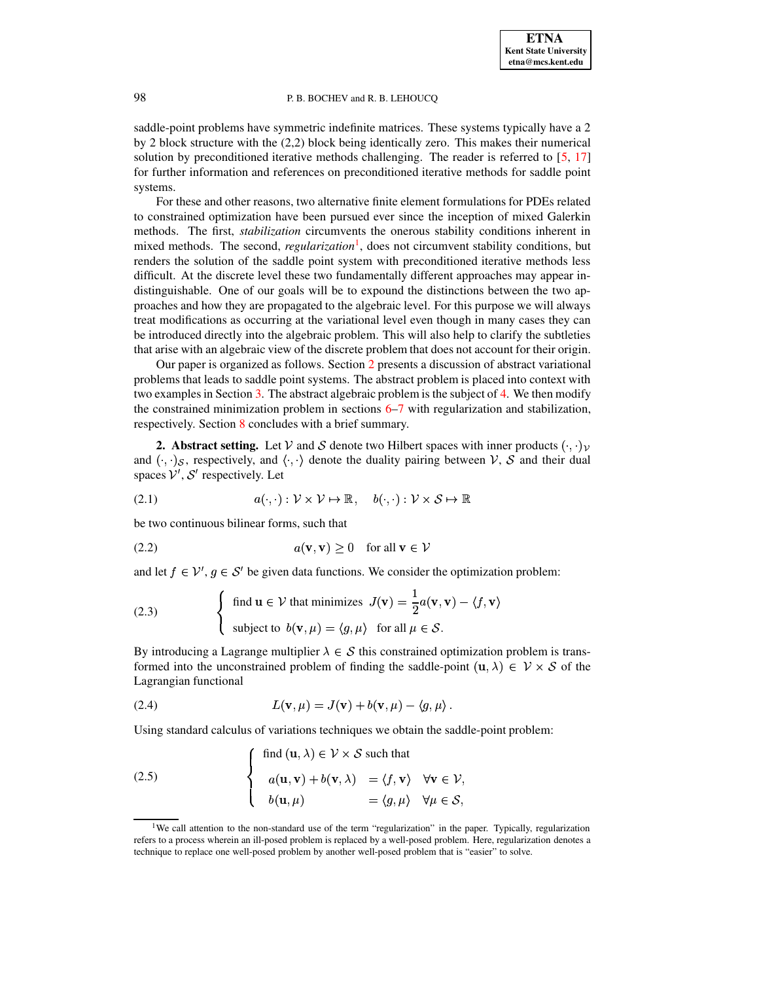saddle-point problems have symmetric indefinite matrices. These systems typically have a 2 by 2 block structure with the (2,2) block being identically zero. This makes their numerical solution by preconditioned iterative methods challenging. The reader is referred to [\[5,](#page-15-4) [17\]](#page-15-5) for further information and references on preconditioned iterative methods for saddle point systems.

For these and other reasons, two alternative finite element formulations for PDEs related to constrained optimization have been pursued ever since the inception of mixed Galerkin methods. The first, *stabilization* circumvents the onerous stability conditions inherent in mixed methods. The second, *regularization*<sup>[1](#page-1-0)</sup>, does not circumvent stability conditions, but renders the solution of the saddle point system with preconditioned iterative methods less difficult. At the discrete level these two fundamentally different approaches may appear indistinguishable. One of our goals will be to expound the distinctions between the two approaches and how they are propagated to the algebraic level. For this purpose we will always treat modifications as occurring at the variational level even though in many cases they can be introduced directly into the algebraic problem. This will also help to clarify the subtleties that arise with an algebraic view of the discrete problem that does not account for their origin.

Our paper is organized as follows. Section [2](#page-1-1) presents a discussion of abstract variational problems that leads to saddle point systems. The abstract problem is placed into context with two examples in Section  $3$ . The abstract algebraic problem is the subject of  $4$ . We then modify the constrained minimization problem in sections [6](#page-7-0)[–7](#page-10-0) with regularization and stabilization, respectively. Section [8](#page-14-0) concludes with a brief summary.

<span id="page-1-1"></span>**2. Abstract setting.** Let V and S denote two Hilbert spaces with inner products  $( \cdot, \cdot )_V$ and  $(\cdot, \cdot)_{\mathcal{S}}$ , respectively, and  $\langle \cdot, \cdot \rangle$  denote the duality pairing between  $\mathcal{V}, \mathcal{S}$  and their dual spaces  $V', S'$  respectively. Let

<span id="page-1-5"></span>(2.1) 
$$
a(\cdot, \cdot): \mathcal{V} \times \mathcal{V} \mapsto \mathbb{R}, \quad b(\cdot, \cdot): \mathcal{V} \times \mathcal{S} \mapsto \mathbb{R}
$$

be two continuous bilinear forms, such that

(2.2) 
$$
a(\mathbf{v}, \mathbf{v}) \ge 0 \quad \text{for all } \mathbf{v} \in \mathcal{V}
$$

and let  $f \in \mathcal{V}'$ ,  $g \in \mathcal{S}'$  be given data functions. We consider the optimization problem:

<span id="page-1-4"></span>(2.3) 
$$
\begin{cases} \text{find } \mathbf{u} \in \mathcal{V} \text{ that minimizes } J(\mathbf{v}) = \frac{1}{2} a(\mathbf{v}, \mathbf{v}) - \langle f, \mathbf{v} \rangle \\ \text{subject to } b(\mathbf{v}, \mu) = \langle g, \mu \rangle \text{ for all } \mu \in \mathcal{S}. \end{cases}
$$

By introducing a Lagrange multiplier  $\lambda \in S$  this constrained optimization problem is transformed into the unconstrained problem of finding the saddle-point  $(\mathbf{u},\lambda) \in \mathcal{V} \times \mathcal{S}$  of the Lagrangian functional

<span id="page-1-2"></span>(2.4) 
$$
L(\mathbf{v}, \mu) = J(\mathbf{v}) + b(\mathbf{v}, \mu) - \langle g, \mu \rangle.
$$

Using standard calculus of variations techniques we obtain the saddle-point problem:

<span id="page-1-3"></span>(2.5) 
$$
\begin{cases} \text{find } (\mathbf{u}, \lambda) \in \mathcal{V} \times \mathcal{S} \text{ such that} \\ a(\mathbf{u}, \mathbf{v}) + b(\mathbf{v}, \lambda) = \langle f, \mathbf{v} \rangle \quad \forall \mathbf{v} \in \mathcal{V}, \\ b(\mathbf{u}, \mu) = \langle g, \mu \rangle \quad \forall \mu \in \mathcal{S}, \end{cases}
$$

<span id="page-1-0"></span><sup>&</sup>lt;sup>1</sup>We call attention to the non-standard use of the term "regularization" in the paper. Typically, regularization refers to a process wherein an ill-posed problem is replaced by a well-posed problem. Here, regularization denotes a technique to replace one well-posed problem by another well-posed problem that is "easier" to solve.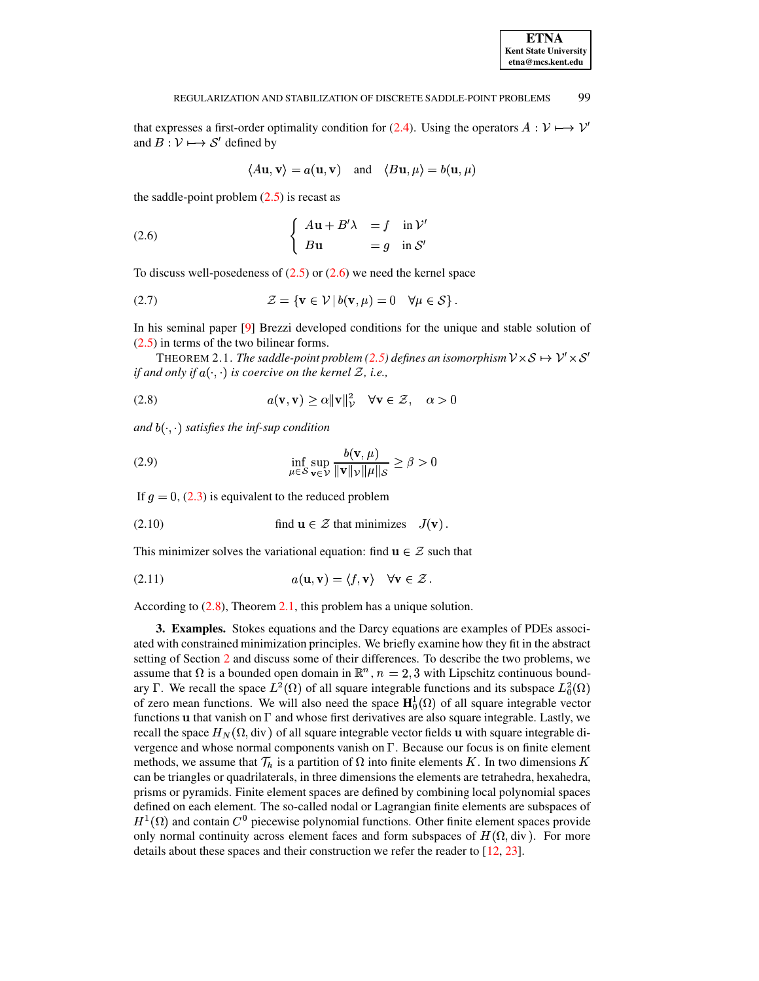### REGULARIZATION AND STABILIZATION OF DISCRETE SADDLE-POINT PROBLEMS 99

that expresses a first-order optimality condition for [\(2.4\)](#page-1-2). Using the operators  $A: V \mapsto V'$ and  $B: V \mapsto S'$  defined by

$$
\langle A\mathbf{u}, \mathbf{v} \rangle = a(\mathbf{u}, \mathbf{v})
$$
 and  $\langle B\mathbf{u}, \mu \rangle = b(\mathbf{u}, \mu)$ 

the saddle-point problem  $(2.5)$  is recast as

<span id="page-2-1"></span>(2.6) 
$$
\begin{cases} A\mathbf{u} + B'\lambda = f \quad \text{in } \mathcal{V}' \\ B\mathbf{u} = g \quad \text{in } \mathcal{S}' \end{cases}
$$

To discuss well-posedeness of  $(2.5)$  or  $(2.6)$  we need the kernel space

<span id="page-2-4"></span>
$$
(2.7) \t\t\t\t\mathcal{Z} = \{ \mathbf{v} \in \mathcal{V} \mid b(\mathbf{v}, \mu) = 0 \quad \forall \mu \in \mathcal{S} \}.
$$

<span id="page-2-3"></span>In his seminal paper [\[9\]](#page-15-3) Brezzi developed conditions for the unique and stable solution of [\(2.5\)](#page-1-3) in terms of the two bilinear forms.

THEOREM 2.1. *The saddle-point problem* [\(2.5\)](#page-1-3) *defines an isomorphism*  $V \times S \mapsto V' \times S'$ *if* and only if  $a(\cdot, \cdot)$  is coercive on the kernel  $\mathcal{Z}$ , i.e.,

<span id="page-2-2"></span>(2.8) 
$$
a(\mathbf{v}, \mathbf{v}) \ge \alpha \|\mathbf{v}\|_{\mathcal{V}}^2 \quad \forall \mathbf{v} \in \mathcal{Z}, \quad \alpha > 0
$$

 $and$   $b(\cdot, \cdot)$  *satisfies the inf-sup condition* 

<span id="page-2-5"></span>(2.9) 
$$
\inf_{\mu \in \mathcal{S}} \sup_{\mathbf{v} \in \mathcal{V}} \frac{b(\mathbf{v}, \mu)}{\|\mathbf{v}\|_{\mathcal{V}} \|\mu\|_{\mathcal{S}}} \ge \beta > 0
$$

If  $g = 0$ , [\(2.3\)](#page-1-4) is equivalent to the reduced problem

(2.10) find 
$$
\mathbf{u} \in \mathcal{Z}
$$
 that minimizes  $J(\mathbf{v})$ .

This minimizer solves the variational equation: find  $\mathbf{u} \in \mathcal{Z}$  such that

<span id="page-2-6"></span>(2.11) 
$$
a(\mathbf{u}, \mathbf{v}) = \langle f, \mathbf{v} \rangle \quad \forall \mathbf{v} \in \mathcal{Z}.
$$

<span id="page-2-0"></span>According to [\(2.8\)](#page-2-2), Theorem [2.1,](#page-2-3) this problem has a unique solution.

**3. Examples.** Stokes equations and the Darcy equations are examples of PDEs associated with constrained minimization principles. We briefly examine how they fit in the abstract setting of Section [2](#page-1-1) and discuss some of their differences. To describe the two problems, we assume that  $\Omega$  is a bounded open domain in  $\mathbb{R}^n$ ,  $n = 2,3$  with Lipschitz continuous boundassume that  $\Omega$  is a bounded open domain in  $\mathbb{R}^n$ ,  $n = 2, 3$  with Lipschitz continuous bound-<br>ary  $\Gamma$ . We recall the space  $L^2(\Omega)$  of all square integrable functions and its subspace  $L^2_0(\Omega)$ of zero mean functions. We will also need the space  $H_0^1(\Omega)$  of all square integrable vector functions  $\bf{u}$  that vanish on  $\Gamma$  and whose first derivatives are also square integrable. Lastly, we recall the space  $H_N(\Omega, \text{div})$  of all square integrable vector fields u with square integrable divergence and whose normal components vanish on  $\Gamma$ . Because our focus is on finite element methods, we assume that  $\mathcal{T}_h$  is a partition of  $\Omega$  into finite elements K. In two dimensions K can be triangles or quadrilaterals, in three dimensions the elements are tetrahedra, hexahedra, prisms or pyramids. Finite element spaces are defined by combining local polynomial spaces defined on each element. The so-called nodal or Lagrangian finite elements are subspaces of  $H^1(\Omega)$  and contain  $C^0$  piecewise polynomial functions. Other finite element spaces provide only normal continuity across element faces and form subspaces of  $H(\Omega, \text{div})$ . For more details about these spaces and their construction we refer the reader to [\[12,](#page-15-0) [23\]](#page-16-2).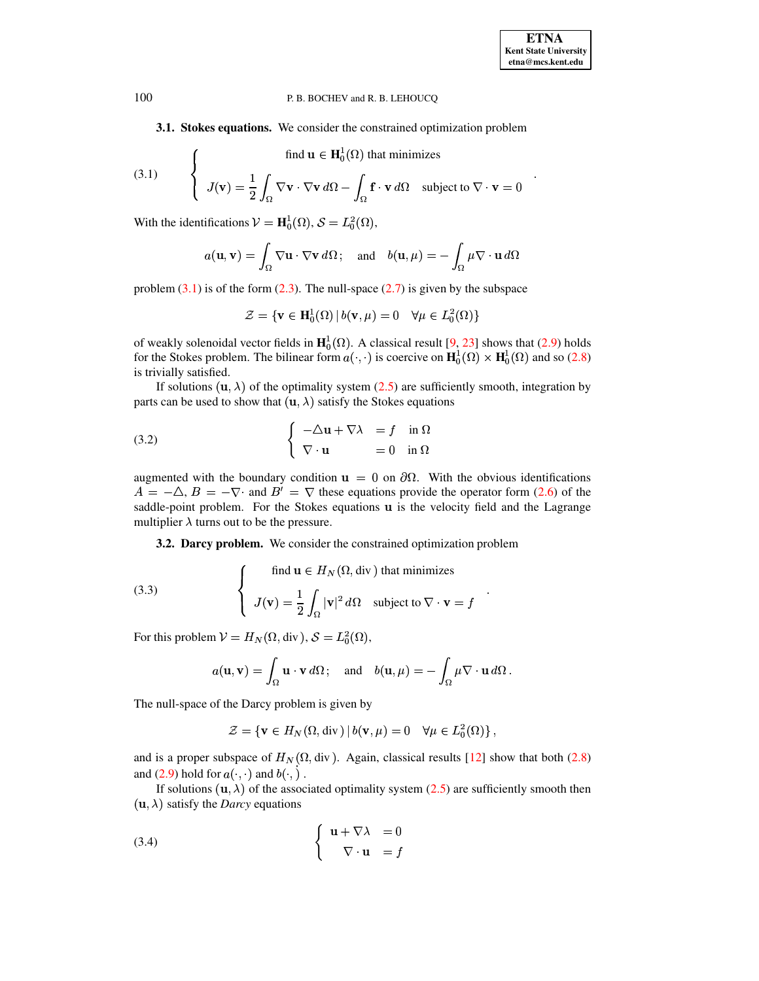3.1. Stokes equations. We consider the constrained optimization problem

<span id="page-3-0"></span>(3.1) 
$$
\begin{cases} \text{find } \mathbf{u} \in \mathbf{H}_0^1(\Omega) \text{ that minimizes} \\ J(\mathbf{v}) = \frac{1}{2} \int_{\Omega} \nabla \mathbf{v} \cdot \nabla \mathbf{v} \, d\Omega - \int_{\Omega} \mathbf{f} \cdot \mathbf{v} \, d\Omega \quad \text{subject to } \nabla \cdot \mathbf{v} = 0 \end{cases}
$$

With the identifications  $V = H_0^1(\Omega)$ ,  $S = L_0^2(\Omega)$ ,

$$
a(\mathbf{u}, \mathbf{v}) = \int_{\Omega} \nabla \mathbf{u} \cdot \nabla \mathbf{v} \, d\Omega \, ; \quad \text{and} \quad b(\mathbf{u}, \mu) = -\int_{\Omega} \mu \nabla \cdot \mathbf{u} \, d\Omega
$$

problem  $(3.1)$  is of the form  $(2.3)$ . The null-space  $(2.7)$  is given by the subspace

$$
\mathcal{Z} = \{ \mathbf{v} \in \mathbf{H}_0^1(\Omega) \, | \, b(\mathbf{v}, \mu) = 0 \quad \forall \mu \in L_0^2(\Omega) \}
$$

of weakly solenoidal vector fields in  $\mathbf{H}^1_0(\Omega)$ . A classical result [9, 23] shows that (2.9) holds for the Stokes problem. The bilinear form  $a(\cdot, \cdot)$  is coercive on  $\mathbf{H}^1_0(\Omega) \times \mathbf{H}^1_0(\Omega)$  and so (2.8) is trivially satisfied.

If solutions  $(\mathbf{u}, \lambda)$  of the optimality system (2.5) are sufficiently smooth, integration by parts can be used to show that  $(u, \lambda)$  satisfy the Stokes equations

<span id="page-3-1"></span>(3.2) 
$$
\begin{cases}\n-\Delta \mathbf{u} + \nabla \lambda = f \quad \text{in } \Omega \\
\nabla \cdot \mathbf{u} = 0 \quad \text{in } \Omega\n\end{cases}
$$

augmented with the boundary condition  $\mathbf{u} = 0$  on  $\partial\Omega$ . With the obvious identifications  $A = -\Delta$ ,  $B = -\nabla \cdot$  and  $B' = \nabla$  these equations provide the operator form (2.6) of the saddle-point problem. For the Stokes equations u is the velocity field and the Lagrange multiplier  $\lambda$  turns out to be the pressure.

3.2. Darcy problem. We consider the constrained optimization problem

(3.3) 
$$
\begin{cases} \text{find } \mathbf{u} \in H_N(\Omega, \text{div}) \text{ that minimizes} \\ J(\mathbf{v}) = \frac{1}{2} \int_{\Omega} |\mathbf{v}|^2 d\Omega & \text{subject to } \nabla \cdot \mathbf{v} = f \end{cases}
$$

For this problem  $V = H_N(\Omega, \text{div}), S = L_0^2(\Omega)$ ,

$$
a(\mathbf{u}, \mathbf{v}) = \int_{\Omega} \mathbf{u} \cdot \mathbf{v} d\Omega
$$
; and  $b(\mathbf{u}, \mu) = -\int_{\Omega} \mu \nabla \cdot \mathbf{u} d\Omega$ 

The null-space of the Darcy problem is given by

$$
\mathcal{Z} = \{ \mathbf{v} \in H_N(\Omega, \text{div}) \, | \, b(\mathbf{v}, \mu) = 0 \quad \forall \mu \in L_0^2(\Omega) \},
$$

and is a proper subspace of  $H_N(\Omega, \text{div})$ . Again, classical results [12] show that both (2.8) and (2.9) hold for  $a(\cdot, \cdot)$  and  $b(\cdot, \cdot)$ .

If solutions  $(\mathbf{u}, \lambda)$  of the associated optimality system (2.5) are sufficiently smooth then  $(\mathbf{u}, \lambda)$  satisfy the *Darcy* equations

<span id="page-3-2"></span>(3.4) 
$$
\begin{cases} \mathbf{u} + \nabla \lambda = 0 \\ \nabla \cdot \mathbf{u} = f \end{cases}
$$

100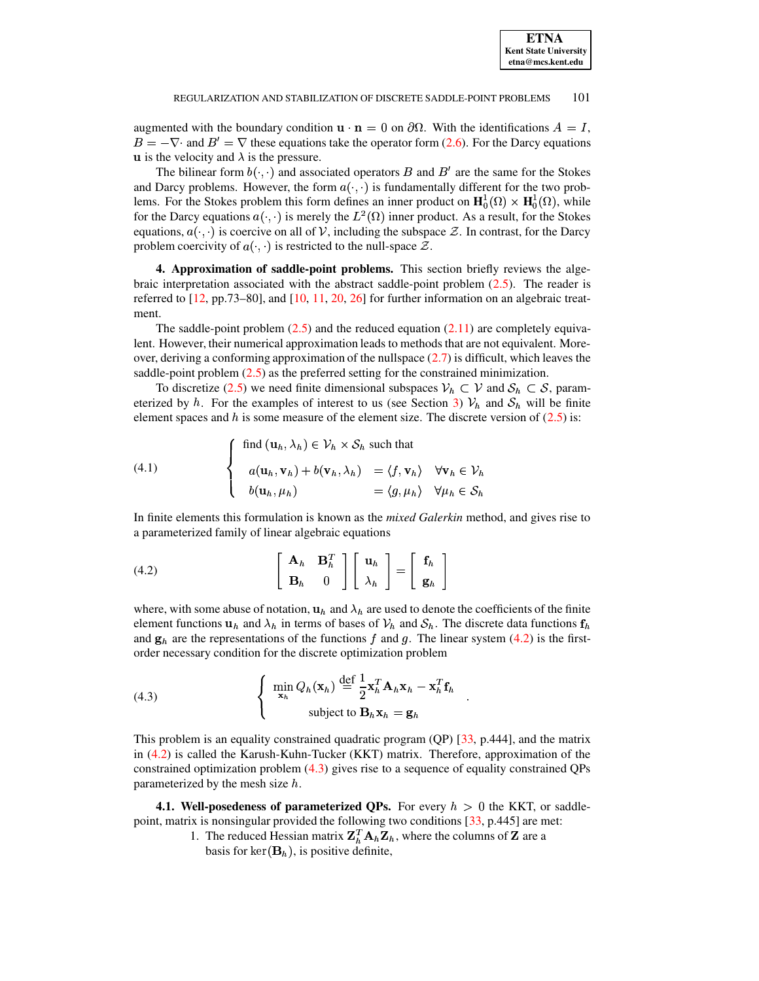augmented with the boundary condition  $\mathbf{u} \cdot \mathbf{n} = 0$  on  $\partial \Omega$ . With the identifications  $A = I$ ,  $B = -\nabla \cdot$  and  $B' = \nabla$  these equations take the operator form [\(2.6\)](#page-2-1). For the Darcy equations **u** is the velocity and  $\lambda$  is the pressure.

The bilinear form  $b(\cdot, \cdot)$  and associated operators B and B' are the same for the Stokes and Darcy problems. However, the form  $a(\cdot, \cdot)$  is fundamentally different for the two problems. For the Stokes problem this form defines an inner product on  $H_0^1(\Omega) \times H_0^1(\Omega)$ , while lems. For the Stokes problem this form defines an inner product on  $\mathbf{H}_0^1(\Omega) \times \mathbf{H}_0^1(\Omega)$ , while for the Darcy equations  $a(\cdot, \cdot)$  is merely the  $L^2(\Omega)$  inner product. As a result, for the Stokes equations,  $a(\cdot, \cdot)$  is coercive on all of V, including the subspace  $\mathcal{Z}$ . In contrast, for the Darcy problem coercivity of  $a(\cdot, \cdot)$  is restricted to the null-space  $\mathcal{Z}$ .

<span id="page-4-0"></span>**4. Approximation of saddle-point problems.** This section briefly reviews the algebraic interpretation associated with the abstract saddle-point problem  $(2.5)$ . The reader is referred to [\[12,](#page-15-0) pp.73–80], and [\[10,](#page-15-6) [11,](#page-15-7) [20,](#page-16-3) [26\]](#page-16-4) for further information on an algebraic treatment.

The saddle-point problem  $(2.5)$  and the reduced equation  $(2.11)$  are completely equivalent. However, their numerical approximation leads to methods that are not equivalent. Moreover, deriving a conforming approximation of the nullspace [\(2.7\)](#page-2-4) is difficult, which leaves the saddle-point problem  $(2.5)$  as the preferred setting for the constrained minimization.

To discretize [\(2.5\)](#page-1-3) we need finite dimensional subspaces  $V_h \subset V$  and  $S_h \subset S$ , param-eterized by h. For the examples of interest to us (see Section [3\)](#page-2-0)  $V_h$  and  $S_h$  will be finite element spaces and h is some measure of the element size. The discrete version of  $(2.5)$  is:

(4.1) 
$$
\begin{cases} \text{find } (\mathbf{u}_h, \lambda_h) \in \mathcal{V}_h \times \mathcal{S}_h \text{ such that} \\ a(\mathbf{u}_h, \mathbf{v}_h) + b(\mathbf{v}_h, \lambda_h) = \langle f, \mathbf{v}_h \rangle \quad \forall \mathbf{v}_h \in \mathcal{V}_h \\ b(\mathbf{u}_h, \mu_h) = \langle g, \mu_h \rangle \quad \forall \mu_h \in \mathcal{S}_h \end{cases}
$$

In finite elements this formulation is known as the *mixed Galerkin* method, and gives rise to a parameterized family of linear algebraic equations

<span id="page-4-1"></span>(4.2) 
$$
\begin{bmatrix} \mathbf{A}_h & \mathbf{B}_h^T \\ \mathbf{B}_h & 0 \end{bmatrix} \begin{bmatrix} \mathbf{u}_h \\ \lambda_h \end{bmatrix} = \begin{bmatrix} \mathbf{f}_h \\ \mathbf{g}_h \end{bmatrix}
$$

where, with some abuse of notation,  $\mathbf{u}_h$  and  $\lambda_h$  are used to denote the coefficients of the finite element functions  $u_h$  and  $\lambda_h$  in terms of bases of  $V_h$  and  $S_h$ . The discrete data functions  $f_h$ and  $g_h$  are the representations of the functions f and g. The linear system [\(4.2\)](#page-4-1) is the first-

<span id="page-4-2"></span>order necessary condition for the discrete optimization problem

\n
$$
\begin{cases}\n\min_{\mathbf{x}_h} Q_h(\mathbf{x}_h) \stackrel{\text{def}}{=} \frac{1}{2} \mathbf{x}_h^T \mathbf{A}_h \mathbf{x}_h - \mathbf{x}_h^T \mathbf{f}_h \\
\text{subject to } \mathbf{B}_h \mathbf{x}_h = \mathbf{g}_h\n\end{cases}
$$

This problem is an equality constrained quadratic program (QP) [\[33,](#page-16-5) p.444], and the matrix in [\(4.2\)](#page-4-1) is called the Karush-Kuhn-Tucker (KKT) matrix. Therefore, approximation of the constrained optimization problem [\(4.3\)](#page-4-2) gives rise to a sequence of equality constrained QPs parameterized by the mesh size  $h$ .

**4.1. Well-posedeness of parameterized QPs.** For every  $h > 0$  the KKT, or saddlepoint, matrix is nonsingular provided the following two conditions [\[33,](#page-16-5) p.445] are met:

> 1. The reduced Hessian matrix  $\mathbf{Z}_{h}^{T} \mathbf{A}_{h} \mathbf{Z}_{h}$ , where the columns of  $\mathbf{Z}$  are a basis for  $\ker(\mathbf{B}_h)$ , is positive definite,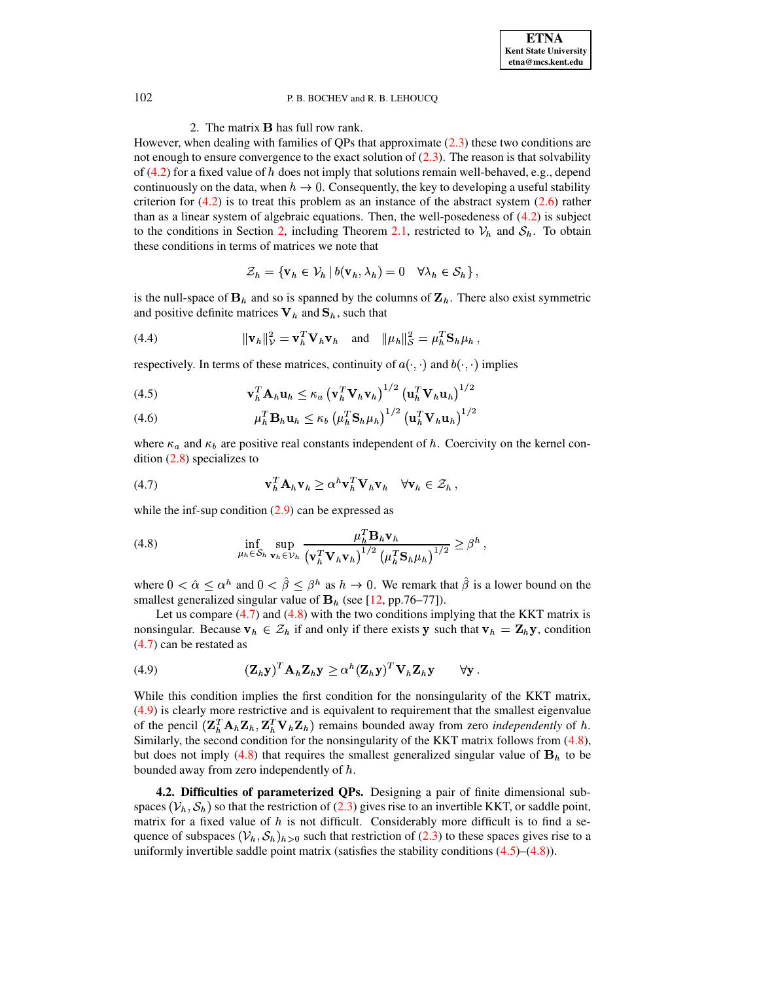### 2. The matrix **B** has full row rank.

However, when dealing with families of QPs that approximate  $(2.3)$  these two conditions are not enough to ensure convergence to the exact solution of  $(2.3)$ . The reason is that solvability of  $(4.2)$  for a fixed value of h does not imply that solutions remain well-behaved, e.g., depend continuously on the data, when  $h \to 0$ . Consequently, the key to developing a useful stability criterion for  $(4.2)$  is to treat this problem as an instance of the abstract system  $(2.6)$  rather than as a linear system of algebraic equations. Then, the well-posedeness of  $(4.2)$  is subject to the conditions in Section 2, including Theorem 2.1, restricted to  $V_h$  and  $S_h$ . To obtain these conditions in terms of matrices we note that

$$
\mathcal{Z}_h = \{ \mathbf{v}_h \in \mathcal{V}_h \, | \, b(\mathbf{v}_h, \lambda_h) = 0 \quad \forall \lambda_h \in \mathcal{S}_h \},
$$

is the null-space of  $B_h$  and so is spanned by the columns of  $\mathbf{Z}_h$ . There also exist symmetric and positive definite matrices  $V_h$  and  $S_h$ , such that

<span id="page-5-4"></span>(4.4) 
$$
\|\mathbf{v}_h\|_{\mathcal{V}}^2 = \mathbf{v}_h^T \mathbf{V}_h \mathbf{v}_h \text{ and } \|\mu_h\|_{\mathcal{S}}^2 = \mu_h^T \mathbf{S}_h \mu_h
$$

respectively. In terms of these matrices, continuity of  $a(\cdot, \cdot)$  and  $b(\cdot, \cdot)$  implies

<span id="page-5-3"></span>(4.5) 
$$
\mathbf{v}_h^T \mathbf{A}_h \mathbf{u}_h \leq \kappa_a \left(\mathbf{v}_h^T \mathbf{V}_h \mathbf{v}_h\right)^{1/2} \left(\mathbf{u}_h^T \mathbf{V}_h \mathbf{u}_h\right)^{1/2}
$$

(4.6) 
$$
\mu_h^T \mathbf{B}_h \mathbf{u}_h \leq \kappa_b \left( \mu_h^T \mathbf{S}_h \mu_h \right)^{1/2} \left( \mathbf{u}_h^T \mathbf{V}_h \mathbf{u}_h \right)^{1/2}
$$

where  $\kappa_a$  and  $\kappa_b$  are positive real constants independent of h. Coercivity on the kernel condition  $(2.8)$  specializes to

<span id="page-5-0"></span>(4.7) 
$$
\mathbf{v}_h^T \mathbf{A}_h \mathbf{v}_h \geq \alpha^h \mathbf{v}_h^T \mathbf{V}_h \mathbf{v}_h \quad \forall \mathbf{v}_h \in \mathcal{Z}_h,
$$

while the inf-sup condition  $(2.9)$  can be expressed as

<span id="page-5-1"></span>(4.8) 
$$
\inf_{\mu_h \in \mathcal{S}_h} \sup_{\mathbf{v}_h \in \mathcal{V}_h} \frac{\mu_h^T \mathbf{B}_h \mathbf{v}_h}{\left(\mathbf{v}_h^T \mathbf{V}_h \mathbf{v}_h\right)^{1/2} \left(\mu_h^T \mathbf{S}_h \mu_h\right)^{1/2}} \geq \beta^h,
$$

where  $0 < \hat{\alpha} \leq \alpha^h$  and  $0 < \hat{\beta} \leq \beta^h$  as  $h \to 0$ . We remark that  $\hat{\beta}$  is a lower bound on the smallest generalized singular value of  $B_h$  (see [12, pp.76–77]).

Let us compare  $(4.7)$  and  $(4.8)$  with the two conditions implying that the KKT matrix is nonsingular. Because  $v_h \in \mathcal{Z}_h$  if and only if there exists y such that  $v_h = Z_h y$ , condition  $(4.7)$  can be restated as

<span id="page-5-2"></span>(4.9) 
$$
(\mathbf{Z}_h \mathbf{y})^T \mathbf{A}_h \mathbf{Z}_h \mathbf{y} \geq \alpha^h (\mathbf{Z}_h \mathbf{y})^T \mathbf{V}_h \mathbf{Z}_h \mathbf{y} \qquad \forall \mathbf{y}
$$

While this condition implies the first condition for the nonsingularity of the KKT matrix, (4.9) is clearly more restrictive and is equivalent to requirement that the smallest eigenvalue of the pencil  $(\mathbf{Z}_{h}^{T} \mathbf{A}_{h} \mathbf{Z}_{h}, \mathbf{Z}_{h}^{T} \mathbf{V}_{h} \mathbf{Z}_{h})$  remains bounded away from zero *independently* of h. Similarly, the second condition for the nonsingularity of the KKT matrix follows from (4.8), but does not imply (4.8) that requires the smallest generalized singular value of  $\mathbf{B}_h$  to be bounded away from zero independently of  $h$ .

4.2. Difficulties of parameterized QPs. Designing a pair of finite dimensional subspaces  $(\mathcal{V}_h, \mathcal{S}_h)$  so that the restriction of (2.3) gives rise to an invertible KKT, or saddle point, matrix for a fixed value of  $h$  is not difficult. Considerably more difficult is to find a sequence of subspaces  $(\mathcal{V}_h, \mathcal{S}_h)_{h>0}$  such that restriction of (2.3) to these spaces gives rise to a uniformly invertible saddle point matrix (satisfies the stability conditions  $(4.5)$ – $(4.8)$ ).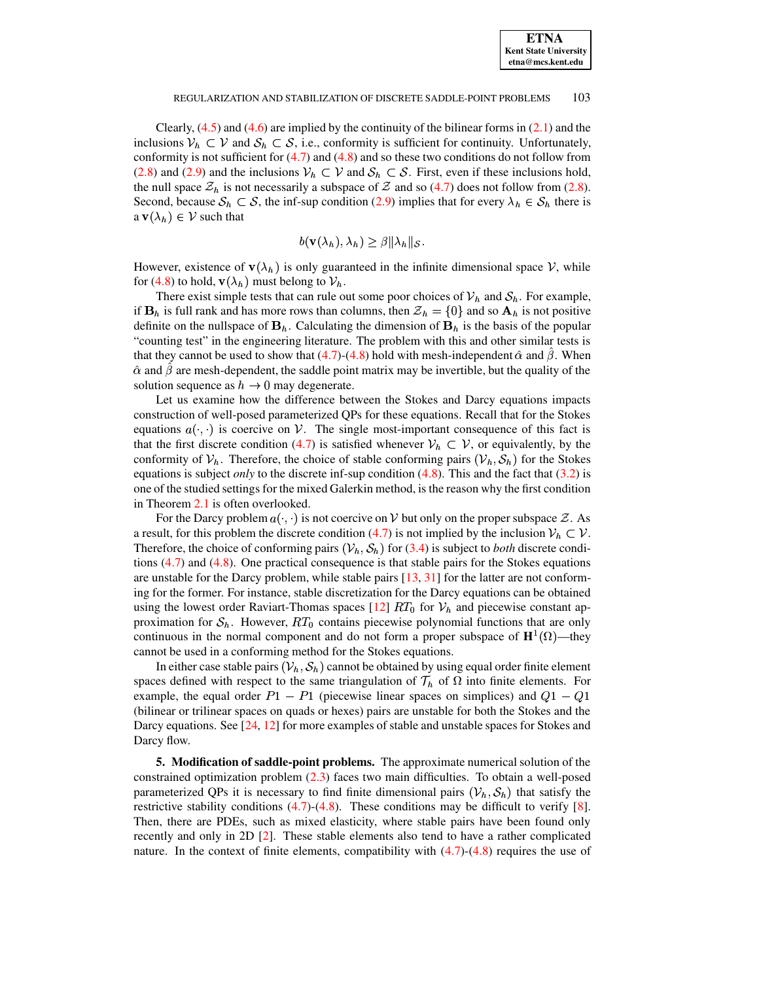Clearly,  $(4.5)$  and  $(4.6)$  are implied by the continuity of the bilinear forms in  $(2.1)$  and the inclusions  $V_h \subset V$  and  $S_h \subset S$ , i.e., conformity is sufficient for continuity. Unfortunately, conformity is not sufficient for  $(4.7)$  and  $(4.8)$  and so these two conditions do not follow from [\(2.8\)](#page-2-2) and [\(2.9\)](#page-2-5) and the inclusions  $V_h \subset V$  and  $S_h \subset S$ . First, even if these inclusions hold, the null space  $\mathcal{Z}_h$  is not necessarily a subspace of  $\mathcal Z$  and so [\(4.7\)](#page-5-0) does not follow from [\(2.8\)](#page-2-2). Second, because  $S_h \subset S$ , the inf-sup condition [\(2.9\)](#page-2-5) implies that for every  $\lambda_h \in S_h$  there is a **v** $(\lambda_h) \in \mathcal{V}$  such that

$$
b(\mathbf{v}(\lambda_h), \lambda_h) \geq \beta ||\lambda_h||_{\mathcal{S}}.
$$

However, existence of  $\mathbf{v}(\lambda_h)$  is only guaranteed in the infinite dimensional space V, while for [\(4.8\)](#page-5-1) to hold,  $\mathbf{v}(\lambda_h)$  must belong to  $\mathcal{V}_h$ .

There exist simple tests that can rule out some poor choices of  $V_h$  and  $S_h$ . For example, if  $\mathbf{B}_h$  is full rank and has more rows than columns, then  $\mathcal{Z}_h = \{0\}$  and so  $\mathbf{A}_h$  is not positive definite on the nullspace of  $\mathbf{B}_h$ . Calculating the dimension of  $\mathbf{B}_h$  is the basis of the popular "counting test" in the engineering literature. The problem with this and other similar tests is that they cannot be used to show that  $(4.7)-(4.8)$  $(4.7)-(4.8)$  $(4.7)-(4.8)$  hold with mesh-independent  $\hat{\alpha}$  and  $\beta$ . When  $\hat{\alpha}$  and  $\beta$  are mesh-dependent, the saddle point matrix may be invertible, but the quality of the solution sequence as  $h \to 0$  may degenerate.

Let us examine how the difference between the Stokes and Darcy equations impacts construction of well-posed parameterized QPs for these equations. Recall that for the Stokes equations  $a(\cdot, \cdot)$  is coercive on V. The single most-important consequence of this fact is that the first discrete condition [\(4.7\)](#page-5-0) is satisfied whenever  $V_h \subset V$ , or equivalently, by the conformity of  $V_h$ . Therefore, the choice of stable conforming pairs  $(V_h, S_h)$  for the Stokes equations is subject *only* to the discrete inf-sup condition [\(4.8\)](#page-5-1). This and the fact that [\(3.2\)](#page-3-1) is one of the studied settings for the mixed Galerkin method, is the reason why the first condition in Theorem [2.1](#page-2-3) is often overlooked.

For the Darcy problem  $a(\cdot, \cdot)$  is not coercive on V but only on the proper subspace  $\mathcal{Z}$ . As a result, for this problem the discrete condition [\(4.7\)](#page-5-0) is not implied by the inclusion  $V_h \subset V$ . Therefore, the choice of conforming pairs  $(\mathcal{V}_h, \mathcal{S}_h)$  for [\(3.4\)](#page-3-2) is subject to *both* discrete conditions  $(4.7)$  and  $(4.8)$ . One practical consequence is that stable pairs for the Stokes equations are unstable for the Darcy problem, while stable pairs [\[13,](#page-15-8) [31\]](#page-16-6) for the latter are not conforming for the former. For instance, stable discretization for the Darcy equations can be obtained using the lowest order Raviart-Thomas spaces  $[12] RT_0$  $[12] RT_0$  for  $V_h$  and piecewise constant approximation for  $S_h$ . However,  $RT_0$  contains piecewise polynomial functions that are only continuous in the normal component and do not form a proper subspace of  $\mathbf{H}^1(\Omega)$ —they cannot be used in a conforming method for the Stokes equations.

In either case stable pairs  $(\mathcal{V}_h, \mathcal{S}_h)$  cannot be obtained by using equal order finite element spaces defined with respect to the same triangulation of  $\mathcal{T}_h$  of  $\Omega$  into finite elements. For example, the equal order  $P1 - P1$  (piecewise linear spaces on simplices) and (bilinear or trilinear spaces on quads or hexes) pairs are unstable for both the Stokes and the Darcy equations. See [\[24,](#page-16-7) [12\]](#page-15-0) for more examples of stable and unstable spaces for Stokes and Darcy flow.

**5. Modification of saddle-point problems.** The approximate numerical solution of the constrained optimization problem [\(2.3\)](#page-1-4) faces two main difficulties. To obtain a well-posed parameterized QPs it is necessary to find finite dimensional pairs  $(\mathcal{V}_h, \mathcal{S}_h)$  that satisfy the restrictive stability conditions  $(4.7)-(4.8)$  $(4.7)-(4.8)$  $(4.7)-(4.8)$ . These conditions may be difficult to verify [\[8\]](#page-15-9). Then, there are PDEs, such as mixed elasticity, where stable pairs have been found only recently and only in 2D [\[2\]](#page-15-10). These stable elements also tend to have a rather complicated nature. In the context of finite elements, compatibility with  $(4.7)-(4.8)$  $(4.7)-(4.8)$  $(4.7)-(4.8)$  requires the use of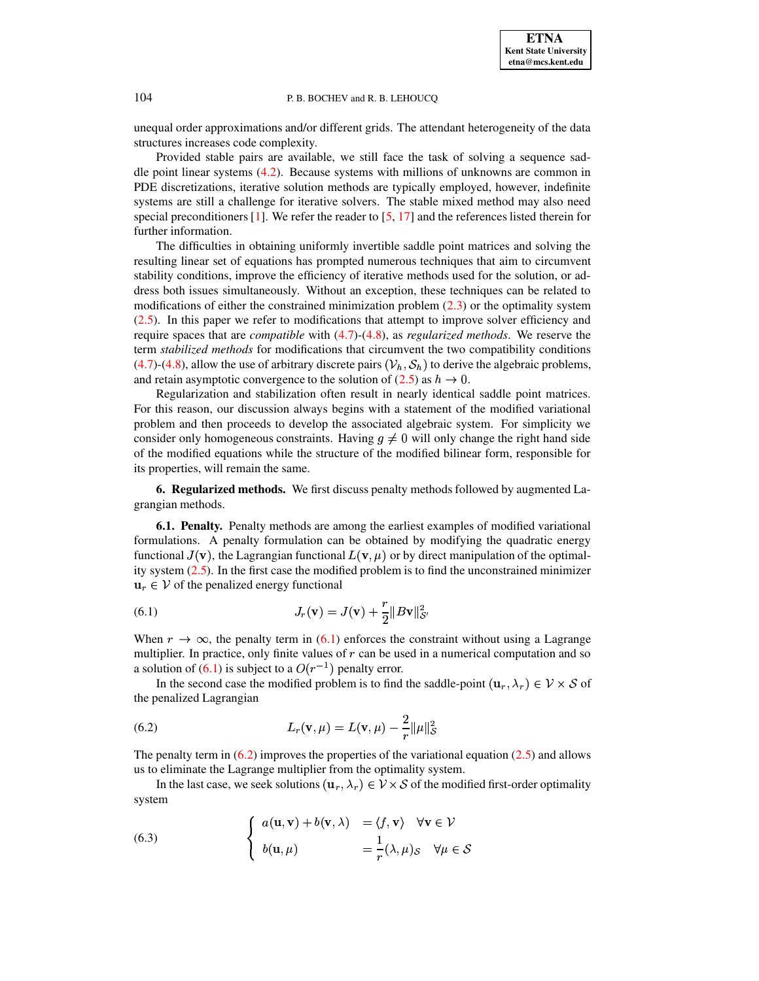unequal order approximations and/or different grids. The attendant heterogeneity of the data structures increases code complexity.

Provided stable pairs are available, we still face the task of solving a sequence saddle point linear systems [\(4.2\)](#page-4-1). Because systems with millions of unknowns are common in PDE discretizations, iterative solution methods are typically employed, however, indefinite systems are still a challenge for iterative solvers. The stable mixed method may also need special preconditioners  $[1]$ . We refer the reader to  $[5, 17]$  $[5, 17]$  $[5, 17]$  and the references listed therein for further information.

The difficulties in obtaining uniformly invertible saddle point matrices and solving the resulting linear set of equations has prompted numerous techniques that aim to circumvent stability conditions, improve the efficiency of iterative methods used for the solution, or address both issues simultaneously. Without an exception, these techniques can be related to modifications of either the constrained minimization problem [\(2.3\)](#page-1-4) or the optimality system [\(2.5\)](#page-1-3). In this paper we refer to modifications that attempt to improve solver efficiency and require spaces that are *compatible* with [\(4.7\)](#page-5-0)-[\(4.8\)](#page-5-1), as *regularized methods*. We reserve the term *stabilized methods* for modifications that circumvent the two compatibility conditions [\(4.7\)](#page-5-0)-[\(4.8\)](#page-5-1), allow the use of arbitrary discrete pairs  $(\mathcal{V}_h, \mathcal{S}_h)$  to derive the algebraic problems, and retain asymptotic convergence to the solution of  $(2.5)$  as  $h \to 0$ .

Regularization and stabilization often result in nearly identical saddle point matrices. For this reason, our discussion always begins with a statement of the modified variational problem and then proceeds to develop the associated algebraic system. For simplicity we consider only homogeneous constraints. Having  $g \neq 0$  will only change the right hand side of the modified equations while the structure of the modified bilinear form, responsible for its properties, will remain the same.

<span id="page-7-0"></span>**6. Regularized methods.** We first discuss penalty methods followed by augmented Lagrangian methods.

**6.1. Penalty.** Penalty methods are among the earliest examples of modified variational formulations. A penalty formulation can be obtained by modifying the quadratic energy formulations. A penalty formulation can be obtained by modifying the quadratic energy functional  $J(\mathbf{v})$ , the Lagrangian functional  $L(\mathbf{v}, \mu)$  or by direct manipulation of the optimality system [\(2.5\)](#page-1-3). In the first case the modified problem is to find the unconstrained minimizer  $\mathbf{u}_r \in \mathcal{V}$  of the penalized energy functional

<span id="page-7-1"></span>(6.1) 
$$
J_r(\mathbf{v}) = J(\mathbf{v}) + \frac{r}{2} ||B\mathbf{v}||_{\mathcal{S}'}^2
$$

When  $r \to \infty$ , the penalty term in [\(6.1\)](#page-7-1) enforces the constraint without using a Lagrange multiplier. In practice, only finite values of  $r$  can be used in a numerical computation and so a solution of  $(6.1)$  is subject to a  $O(r^{-1})$  penalty error.

In the second case the modified problem is to find the saddle-point  $(\mathbf{u}_r, \lambda_r) \in \mathcal{V} \times \mathcal{S}$  of the penalized Lagrangian

<span id="page-7-2"></span>(6.2) 
$$
L_r(\mathbf{v}, \mu) = L(\mathbf{v}, \mu) - \frac{2}{r} ||\mu||^2_{\mathcal{S}}
$$

The penalty term in  $(6.2)$  improves the properties of the variational equation  $(2.5)$  and allows us to eliminate the Lagrange multiplier from the optimality system.

In the last case, we seek solutions  $(\mathbf{u}_r, \lambda_r) \in \mathcal{V} \times \mathcal{S}$  of the modified first-order optimality system

<span id="page-7-3"></span>(6.3) 
$$
\begin{cases} a(\mathbf{u}, \mathbf{v}) + b(\mathbf{v}, \lambda) & = \langle f, \mathbf{v} \rangle \quad \forall \mathbf{v} \in \mathcal{V} \\ b(\mathbf{u}, \mu) & = \frac{1}{r}(\lambda, \mu)_{\mathcal{S}} \quad \forall \mu \in \mathcal{S} \end{cases}
$$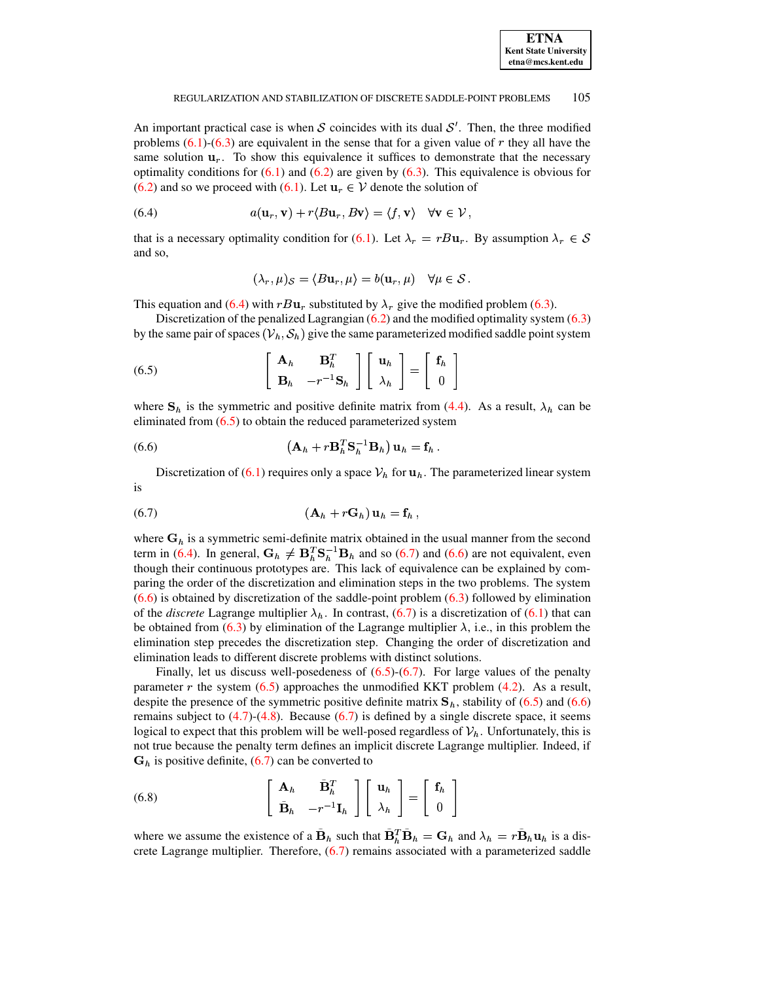

An important practical case is when S coincides with its dual  $S'$ . Then, the three modified problems  $(6.1)$ - $(6.3)$  are equivalent in the sense that for a given value of r they all have the same solution  $\mathbf{u}_r$ . To show this equivalence it suffices to demonstrate that the necessary optimality conditions for  $(6.1)$  and  $(6.2)$  are given by  $(6.3)$ . This equivalence is obvious for  $(6.2)$  and so we proceed with  $(6.1)$ . Let  $u_r \in V$  denote the solution of

<span id="page-8-0"></span>(6.4) 
$$
a(\mathbf{u}_r, \mathbf{v}) + r \langle B\mathbf{u}_r, B\mathbf{v} \rangle = \langle f, \mathbf{v} \rangle \quad \forall \mathbf{v} \in \mathcal{V}
$$

that is a necessary optimality condition for (6.1). Let  $\lambda_r = rBu_r$ . By assumption  $\lambda_r \in \mathcal{S}$ and so,

$$
(\lambda_r, \mu)_{\mathcal{S}} = \langle B\mathbf{u}_r, \mu \rangle = b(\mathbf{u}_r, \mu) \quad \forall \mu \in \mathcal{S}
$$

This equation and (6.4) with  $rBu_r$  substituted by  $\lambda_r$  give the modified problem (6.3).

Discretization of the penalized Lagrangian  $(6.2)$  and the modified optimality system  $(6.3)$ by the same pair of spaces  $(\mathcal{V}_h, \mathcal{S}_h)$  give the same parameterized modified saddle point system

<span id="page-8-1"></span>(6.5) 
$$
\begin{bmatrix} \mathbf{A}_h & \mathbf{B}_h^T \\ \mathbf{B}_h & -r^{-1}\mathbf{S}_h \end{bmatrix} \begin{bmatrix} \mathbf{u}_h \\ \lambda_h \end{bmatrix} = \begin{bmatrix} \mathbf{f}_h \\ 0 \end{bmatrix}
$$

where  $S_h$  is the symmetric and positive definite matrix from (4.4). As a result,  $\lambda_h$  can be eliminated from  $(6.5)$  to obtain the reduced parameterized system

<span id="page-8-3"></span>
$$
\left(\mathbf{A}_h + r \mathbf{B}_h^T \mathbf{S}_h^{-1} \mathbf{B}_h\right) \mathbf{u}_h = \mathbf{f}_h.
$$

Discretization of (6.1) requires only a space  $\mathcal{V}_h$  for  $\mathbf{u}_h$ . The parameterized linear system is

<span id="page-8-2"></span>
$$
(6.7) \qquad \qquad (\mathbf{A}_h + r\mathbf{G}_h)\mathbf{u}_h = \mathbf{f}_h
$$

where  $G_h$  is a symmetric semi-definite matrix obtained in the usual manner from the second term in (6.4). In general,  $G_h \neq B_h^T S_h^{-1} B_h$  and so (6.7) and (6.6) are not equivalent, even though their continuous prototypes are. This lack of equivalence can be explained by comparing the order of the discretization and elimination steps in the two problems. The system  $(6.6)$  is obtained by discretization of the saddle-point problem  $(6.3)$  followed by elimination of the *discrete* Lagrange multiplier  $\lambda_h$ . In contrast, (6.7) is a discretization of (6.1) that can be obtained from (6.3) by elimination of the Lagrange multiplier  $\lambda$ , i.e., in this problem the elimination step precedes the discretization step. Changing the order of discretization and elimination leads to different discrete problems with distinct solutions.

Finally, let us discuss well-posedeness of  $(6.5)-(6.7)$ . For large values of the penalty parameter  $r$  the system (6.5) approaches the unmodified KKT problem (4.2). As a result, despite the presence of the symmetric positive definite matrix  $S_h$ , stability of (6.5) and (6.6) remains subject to  $(4.7)$ - $(4.8)$ . Because  $(6.7)$  is defined by a single discrete space, it seems logical to expect that this problem will be well-posed regardless of  $V_h$ . Unfortunately, this is not true because the penalty term defines an implicit discrete Lagrange multiplier. Indeed, if  $G_h$  is positive definite, (6.7) can be converted to

<span id="page-8-4"></span>(6.8) 
$$
\begin{bmatrix} \mathbf{A}_h & \tilde{\mathbf{B}}_h^T \\ \tilde{\mathbf{B}}_h & -r^{-1}\mathbf{I}_h \end{bmatrix} \begin{bmatrix} \mathbf{u}_h \\ \lambda_h \end{bmatrix} = \begin{bmatrix} \mathbf{f}_h \\ 0 \end{bmatrix}
$$

where we assume the existence of a  $\mathbf{B}_h$  such that  $\mathbf{B}_h^T \mathbf{B}_h = \mathbf{G}_h$  and  $\lambda_h = r \mathbf{B}_h \mathbf{u}_h$  is a discrete Lagrange multiplier. Therefore,  $(6.7)$  remains associated with a parameterized saddle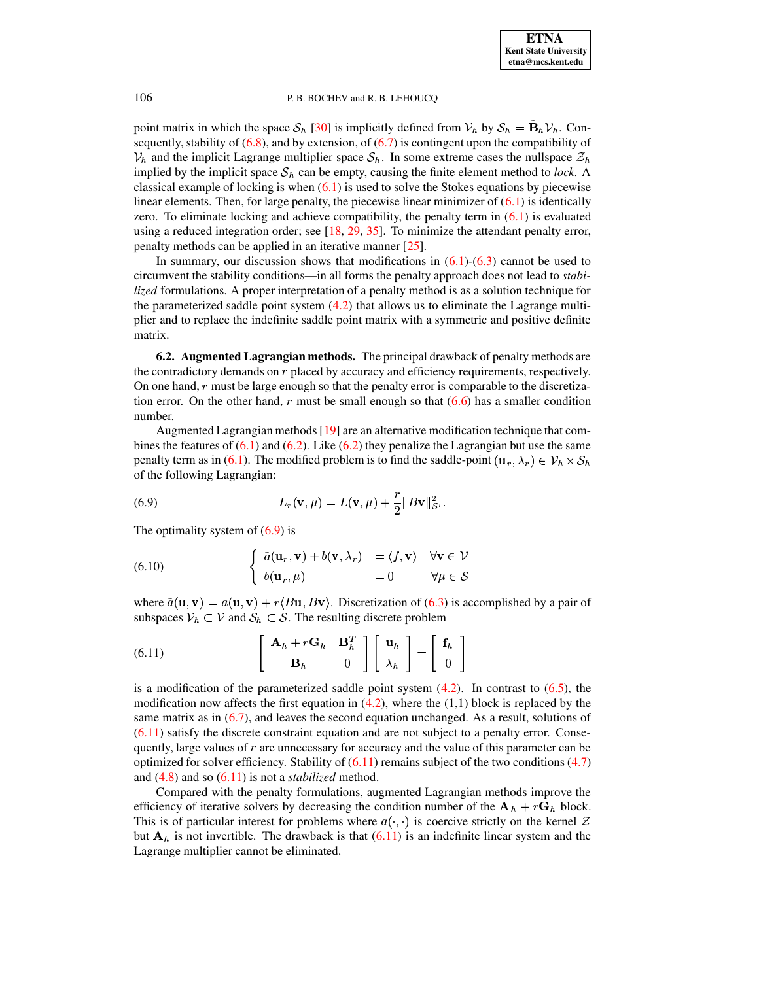point matrix in which the space  $S_h$  [\[30\]](#page-16-8) is implicitly defined from  $V_h$  by  $S_h = \dot{B}_h V_h$ . Consequently, stability of  $(6.8)$ , and by extension, of  $(6.7)$  is contingent upon the compatibility of  $V_h$  and the implicit Lagrange multiplier space  $S_h$ . In some extreme cases the nullspace  $\mathcal{Z}_h$ implied by the implicit space  $S_h$  can be empty, causing the finite element method to *lock*. A classical example of locking is when  $(6.1)$  is used to solve the Stokes equations by piecewise linear elements. Then, for large penalty, the piecewise linear minimizer of  $(6.1)$  is identically zero. To eliminate locking and achieve compatibility, the penalty term in  $(6.1)$  is evaluated using a reduced integration order; see [\[18,](#page-15-12) [29,](#page-16-9) [35\]](#page-16-10). To minimize the attendant penalty error, penalty methods can be applied in an iterative manner [\[25\]](#page-16-11).

In summary, our discussion shows that modifications in  $(6.1)$ - $(6.3)$  cannot be used to circumvent the stability conditions—in all forms the penalty approach does not lead to *stabilized* formulations. A proper interpretation of a penalty method is as a solution technique for the parameterized saddle point system  $(4.2)$  that allows us to eliminate the Lagrange multiplier and to replace the indefinite saddle point matrix with a symmetric and positive definite matrix.

**6.2. Augmented Lagrangian methods.** The principal drawback of penalty methods are the contradictory demands on  $r$  placed by accuracy and efficiency requirements, respectively. On one hand,  $r$  must be large enough so that the penalty error is comparable to the discretization error. On the other hand,  $r$  must be small enough so that  $(6.6)$  has a smaller condition number.

Augmented Lagrangian methods  $[19]$  are an alternative modification technique that combines the features of  $(6.1)$  and  $(6.2)$ . Like  $(6.2)$  they penalize the Lagrangian but use the same penalty term as in [\(6.1\)](#page-7-1). The modified problem is to find the saddle-point  $(\mathbf{u}_r, \lambda_r) \in \mathcal{V}_h \times \mathcal{S}_h$ of the following Lagrangian:

<span id="page-9-0"></span>(6.9) 
$$
L_r(\mathbf{v}, \mu) = L(\mathbf{v}, \mu) + \frac{r}{2} ||B\mathbf{v}||_{\mathcal{S}'}^2.
$$

The optimality system of  $(6.9)$  is

(6.10) 
$$
\begin{cases} \tilde{a}(\mathbf{u}_r, \mathbf{v}) + b(\mathbf{v}, \lambda_r) = \langle f, \mathbf{v} \rangle & \forall \mathbf{v} \in \mathcal{V} \\ b(\mathbf{u}_r, \mu) = 0 & \forall \mu \in \mathcal{S} \end{cases}
$$

where  $\tilde{a}(\mathbf{u}, \mathbf{v}) = a(\mathbf{u}, \mathbf{v}) + r \langle B\mathbf{u}, B\mathbf{v} \rangle$ . Discretization of [\(6.3\)](#page-7-3) is accomplished by a pair of subspaces  $V_h \subset V$  and  $S_h \subset S$ . The resulting discrete problem

<span id="page-9-1"></span>(6.11) 
$$
\begin{bmatrix} \mathbf{A}_h + r\mathbf{G}_h & \mathbf{B}_h^T \\ \mathbf{B}_h & 0 \end{bmatrix} \begin{bmatrix} \mathbf{u}_h \\ \lambda_h \end{bmatrix} = \begin{bmatrix} \mathbf{f}_h \\ 0 \end{bmatrix}
$$

is a modification of the parameterized saddle point system  $(4.2)$ . In contrast to  $(6.5)$ , the modification now affects the first equation in  $(4.2)$ , where the  $(1,1)$  block is replaced by the same matrix as in [\(6.7\)](#page-8-2), and leaves the second equation unchanged. As a result, solutions of  $(6.11)$  satisfy the discrete constraint equation and are not subject to a penalty error. Consequently, large values of  $r$  are unnecessary for accuracy and the value of this parameter can be optimized for solver efficiency. Stability of  $(6.11)$  remains subject of the two conditions  $(4.7)$ and [\(4.8\)](#page-5-1) and so [\(6.11\)](#page-9-1) is not a *stabilized* method.

Compared with the penalty formulations, augmented Lagrangian methods improve the efficiency of iterative solvers by decreasing the condition number of the  $\mathbf{A}_h + r \mathbf{G}_h$  block. This is of particular interest for problems where  $a(\cdot, \cdot)$  is coercive strictly on the kernel  $\mathcal Z$ but  $A_h$  is not invertible. The drawback is that  $(6.11)$  is an indefinite linear system and the Lagrange multiplier cannot be eliminated.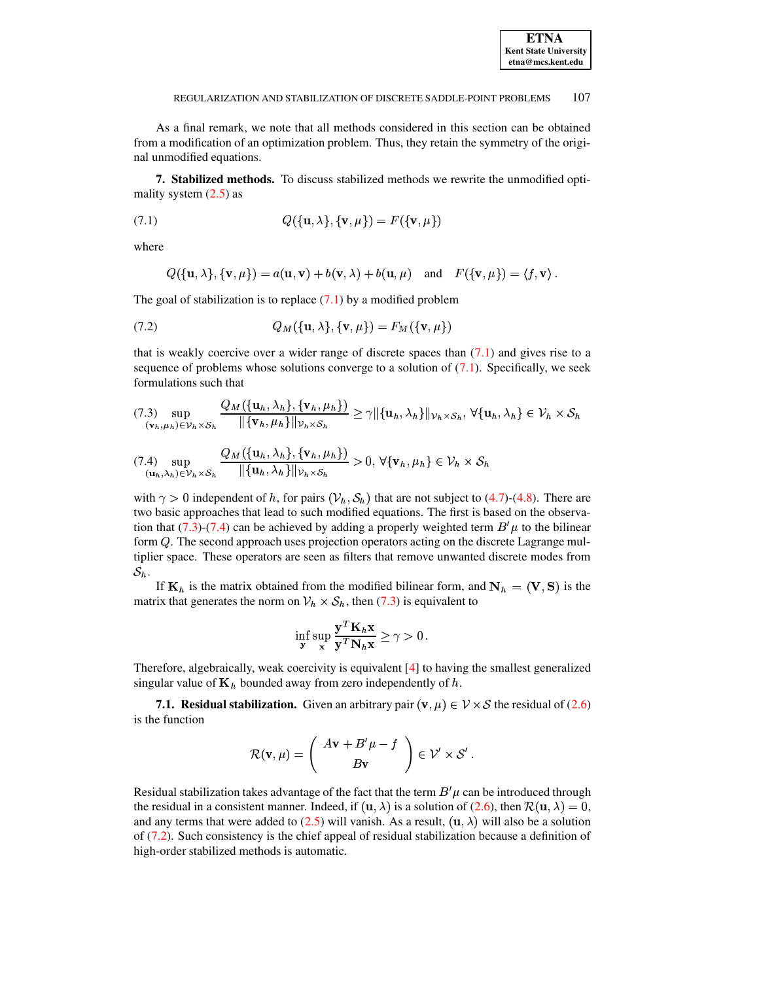As a final remark, we note that all methods considered in this section can be obtained from a modification of an optimization problem. Thus, they retain the symmetry of the original unmodified equations.

<span id="page-10-0"></span>**7. Stabilized methods.** To discuss stabilized methods we rewrite the unmodified optimality system  $(2.5)$  as

<span id="page-10-1"></span>
$$
(7.1) \qquad \qquad Q(\{\mathbf{u}, \lambda\}, \{\mathbf{v}, \mu\}) = F(\{\mathbf{v}, \mu\})
$$

where

$$
Q(\{\mathbf{u}, \lambda\}, \{\mathbf{v}, \mu\}) = a(\mathbf{u}, \mathbf{v}) + b(\mathbf{v}, \lambda) + b(\mathbf{u}, \mu) \quad \text{and} \quad F(\{\mathbf{v}, \mu\}) = \langle f, \mathbf{v} \rangle
$$

The goal of stabilization is to replace  $(7.1)$  by a modified problem

<span id="page-10-3"></span>
$$
(7.2) \tQ_M(\{\mathbf{u}, \lambda\}, \{\mathbf{v}, \mu\}) = F_M(\{\mathbf{v}, \mu\})
$$

that is weakly coercive over a wider range of discrete spaces than  $(7.1)$  and gives rise to a sequence of problems whose solutions converge to a solution of  $(7.1)$ . Specifically, we seek formulations such that

<span id="page-10-2"></span>
$$
(7.3) \sup_{(\mathbf{v}_h,\mu_h)\in\mathcal{V}_h\times\mathcal{S}_h} \frac{Q_M(\{\mathbf{u}_h,\lambda_h\},\{\mathbf{v}_h,\mu_h\})}{\|\{\mathbf{v}_h,\mu_h\}\|_{\mathcal{V}_h\times\mathcal{S}_h}} \geq \gamma \|\{\mathbf{u}_h,\lambda_h\}\|_{\mathcal{V}_h\times\mathcal{S}_h}, \forall \{\mathbf{u}_h,\lambda_h\}\in\mathcal{V}_h\times\mathcal{S}_h
$$

$$
(7.4) \sup_{(\mathbf{u}_h,\lambda_h)\in\mathcal{V}_h\times\mathcal{S}_h} \frac{Q_M(\{\mathbf{u}_h,\lambda_h\},\{\mathbf{v}_h,\mu_h\})}{\|\{\mathbf{u}_h,\lambda_h\}\|_{\mathcal{V}_h\times\mathcal{S}_h}} > 0, \forall \{\mathbf{v}_h,\mu_h\} \in \mathcal{V}_h\times\mathcal{S}_h
$$

with  $\gamma > 0$  independent of h, for pairs  $(\mathcal{V}_h, \mathcal{S}_h)$  that are not subject to (4.7)-(4.8). There are two basic approaches that lead to such modified equations. The first is based on the observation that (7.3)-(7.4) can be achieved by adding a properly weighted term  $B^{\prime} \mu$  to the bilinear form  $Q$ . The second approach uses projection operators acting on the discrete Lagrange multiplier space. These operators are seen as filters that remove unwanted discrete modes from  $S_h$ .

If  $K_h$  is the matrix obtained from the modified bilinear form, and  $N_h = (V, S)$  is the matrix that generates the norm on  $V_h \times S_h$ , then (7.3) is equivalent to

$$
\inf_{\mathbf{y}} \sup_{\mathbf{x}} \frac{\mathbf{y}^T \mathbf{K}_h \mathbf{x}}{\mathbf{y}^T \mathbf{N}_h \mathbf{x}} \ge \gamma > 0.
$$

Therefore, algebraically, weak coercivity is equivalent [4] to having the smallest generalized singular value of  $\mathbf{K}_h$  bounded away from zero independently of  $h$ .

7.1. Residual stabilization. Given an arbitrary pair  $(v, \mu) \in V \times S$  the residual of (2.6) is the function

$$
\mathcal{R}(\mathbf{v}, \mu) = \left(\begin{array}{c} A\mathbf{v} + B'\mu - f \\ B\mathbf{v} \end{array}\right) \in \mathcal{V}' \times \mathcal{S}'
$$

Residual stabilization takes advantage of the fact that the term  $B^{\prime} \mu$  can be introduced through the residual in a consistent manner. Indeed, if  $(\mathbf{u}, \lambda)$  is a solution of (2.6), then  $\mathcal{R}(\mathbf{u}, \lambda) = 0$ , and any terms that were added to (2.5) will vanish. As a result,  $(\mathbf{u}, \lambda)$  will also be a solution of  $(7.2)$ . Such consistency is the chief appeal of residual stabilization because a definition of high-order stabilized methods is automatic.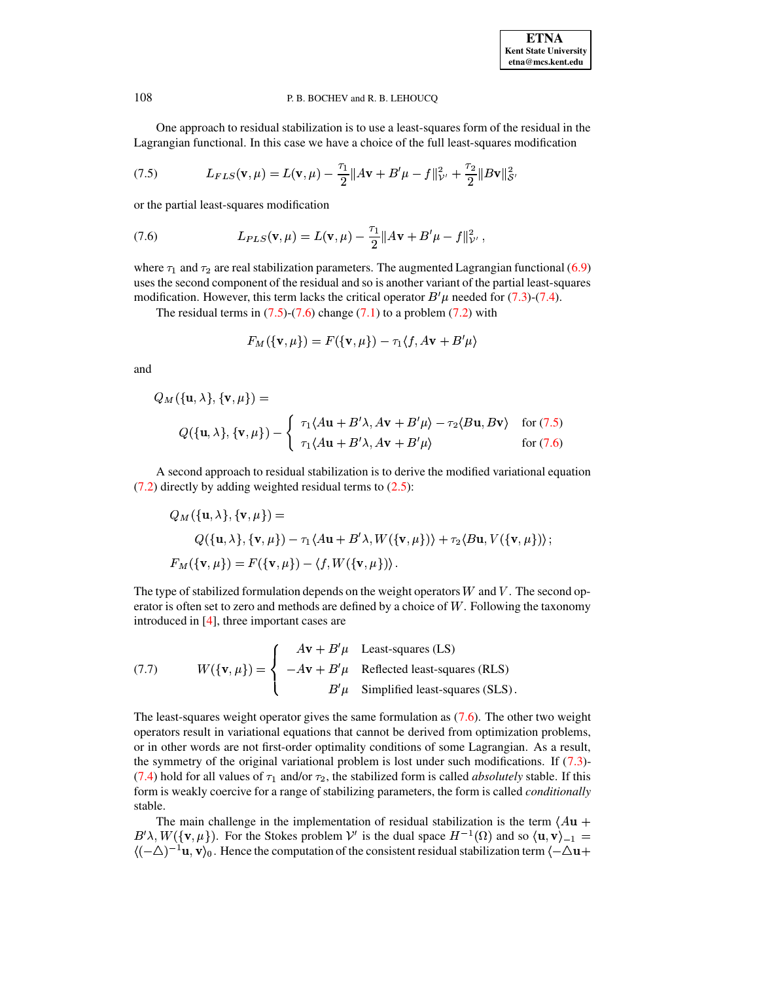One approach to residual stabilization is to use a least-squares form of the residual in the Lagrangian functional. In this case we have a choice of the full least-squares modification

<span id="page-11-0"></span>(7.5) 
$$
L_{FLS}(\mathbf{v}, \mu) = L(\mathbf{v}, \mu) - \frac{\tau_1}{2} ||A\mathbf{v} + B'\mu - f||_{\mathcal{V}'}^2 + \frac{\tau_2}{2} ||B\mathbf{v}||_{\mathcal{S}'}^2
$$

or the partial least-squares modification

<span id="page-11-1"></span>(7.6) 
$$
L_{PLS}(\mathbf{v},\mu)=L(\mathbf{v},\mu)-\frac{\tau_1}{2}||A\mathbf{v}+B'\mu-f||_{\mathcal{V}}^2,
$$

where  $\tau_1$  and  $\tau_2$  are real stabilization parameters. The augmented Lagrangian functional [\(6.9\)](#page-9-0) uses the second component of the residual and so is another variant of the partial least-squares modification. However, this term lacks the critical operator  $B' \mu$  needed for [\(7.3\)](#page-10-2)-[\(7.4\)](#page-10-2).

The residual terms in  $(7.5)-(7.6)$  $(7.5)-(7.6)$  $(7.5)-(7.6)$  change  $(7.1)$  to a problem  $(7.2)$  with

$$
F_M(\{\mathbf{v},\mu\})=F(\{\mathbf{v},\mu\})-\tau_1\langle f,A\mathbf{v}+B'\mu\rangle
$$

and

$$
Q_M(\{\mathbf{u}, \lambda\}, \{\mathbf{v}, \mu\}) =
$$
  
 
$$
Q(\{\mathbf{u}, \lambda\}, \{\mathbf{v}, \mu\}) - \begin{cases} \tau_1 \langle A\mathbf{u} + B' \lambda, A\mathbf{v} + B' \mu \rangle - \tau_2 \langle B\mathbf{u}, B\mathbf{v} \rangle & \text{for (7.5)} \\ \tau_1 \langle A\mathbf{u} + B' \lambda, A\mathbf{v} + B' \mu \rangle & \text{for (7.6)} \end{cases}
$$

A second approach to residual stabilization is to derive the modified variational equation [\(7.2\)](#page-10-3) directly by adding weighted residual terms to [\(2.5\)](#page-1-3):

$$
Q_M(\{\mathbf{u}, \lambda\}, \{\mathbf{v}, \mu\}) =
$$
  
 
$$
Q(\{\mathbf{u}, \lambda\}, \{\mathbf{v}, \mu\}) - \tau_1 \langle A\mathbf{u} + B' \lambda, W(\{\mathbf{v}, \mu\}) \rangle + \tau_2 \langle B\mathbf{u}, V(\{\mathbf{v}, \mu\}) \rangle ;
$$
  
\n
$$
F_M(\{\mathbf{v}, \mu\}) = F(\{\mathbf{v}, \mu\}) - \langle f, W(\{\mathbf{v}, \mu\}) \rangle .
$$

The type of stabilized formulation depends on the weight operators  $W$  and  $V$ . The second operator is often set to zero and methods are defined by a choice of  $W$ . Following the taxonomy introduced in [\[4\]](#page-15-14), three important cases are

<span id="page-11-2"></span>(7.7) 
$$
W(\{\mathbf{v}, \mu\}) = \begin{cases} Av + B'\mu & \text{Least-squares (LS)}\\ -Av + B'\mu & \text{Reflected least-squares (RLS)}\\ B'\mu & \text{Simplified least-squares (SLS)}. \end{cases}
$$

The least-squares weight operator gives the same formulation as [\(7.6\)](#page-11-1). The other two weight operators result in variational equations that cannot be derived from optimization problems, or in other words are not first-order optimality conditions of some Lagrangian. As a result, the symmetry of the original variational problem is lost under such modifications. If [\(7.3\)](#page-10-2)- [\(7.4\)](#page-10-2) hold for all values of  $\tau_1$  and/or  $\tau_2$ , the stabilized form is called *absolutely* stable. If this form is weakly coercive for a range of stabilizing parameters, the form is called *conditionally* stable.

The main challenge in the implementation of residual stabilization is the term  $\langle Au +$  $B' \lambda, W(\{\mathbf{v}, \mu\})$ . For the Stokes problem  $\mathcal{V}'$  is the dual space  $H^{-1}(\Omega)$  and so  $\langle \mathbf{u}, \mathbf{v} \rangle_{-1} =$  $\langle (-\Delta)^{-1} \mathbf{u}, \mathbf{v} \rangle_0$ . Hence the computation of the consistent residual stabilization term  $\langle -\Delta \mathbf{u} + \Delta \mathbf{u} \rangle_0$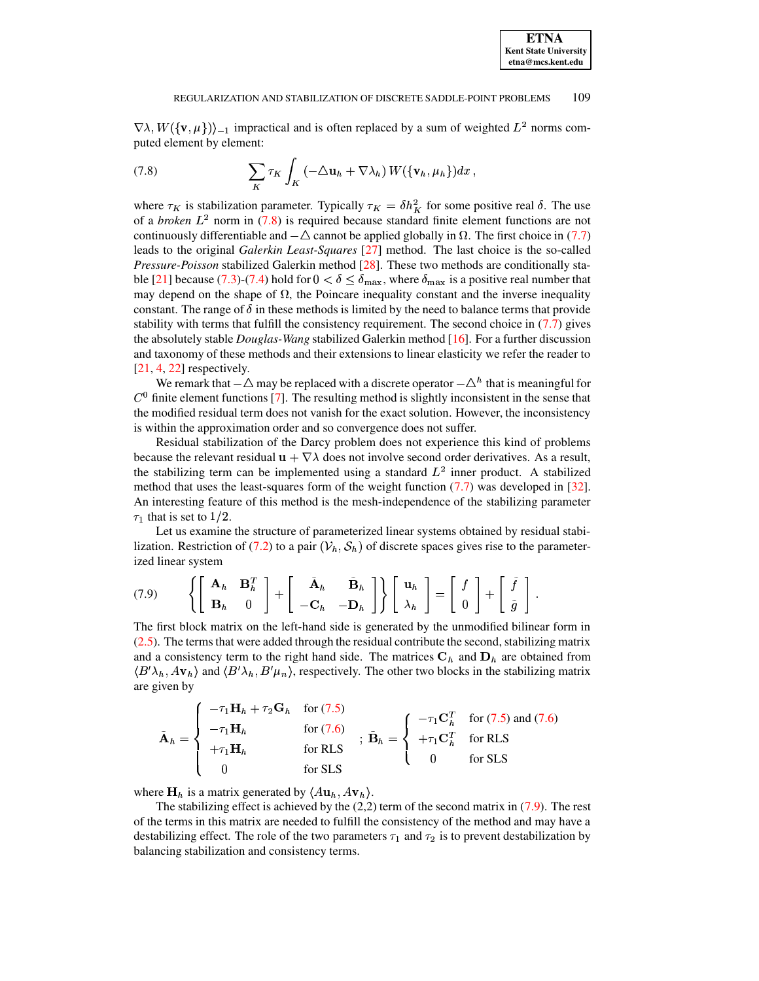$(\nabla \lambda, W(\{\mathbf{v}, \mu\}))_{-1}$  impractical and is often replaced by a sum of weighted  $L^2$  norms computed element by element:

puted element by element:

\n
$$
(7.8) \quad \sum_{K} \tau_{K} \int_{K} \left( -\Delta \mathbf{u}_{h} + \nabla \lambda_{h} \right) W(\{\mathbf{v}_{h}, \mu_{h}\}) dx,
$$

<span id="page-12-0"></span>(7.8)<br>  $\sum_{K} \tau_{K} \int_{K} (-\Delta \mathbf{u}_{h} + \nabla \lambda_{h}) W(\{\mathbf{v}_{h}, \mu_{h}\}) dx$ ,<br>
where  $\tau_{K}$  is stabilization parameter. Typically  $\tau_{K} = \delta h_{K}^{2}$  for some positive real  $\delta$ . The use where  $\tau_K$  is stabilization parameter. Typically  $\tau_K = \delta h_K^2$  for some positive real  $\delta$ . The use of a *broken*  $L^2$  norm in [\(7.8\)](#page-12-0) is required because standard finite element functions are not continuously differentiable and  $-\Delta$  cannot be applied globally in  $\Omega$ . The first choice in [\(7.7\)](#page-11-2) leads to the original *Galerkin Least-Squares* [\[27\]](#page-16-12) method. The last choice is the so-called *Pressure-Poisson* stabilized Galerkin method [\[28\]](#page-16-13). These two methods are conditionally sta-ble [\[21\]](#page-16-14) because [\(7.3\)](#page-10-2)-[\(7.4\)](#page-10-2) hold for  $0 < \delta \le \delta_{\text{max}}$ , where  $\delta_{\text{max}}$  is a positive real number that may depend on the shape of  $\Omega$ , the Poincare inequality constant and the inverse inequality constant. The range of  $\delta$  in these methods is limited by the need to balance terms that provide stability with terms that fulfill the consistency requirement. The second choice in [\(7.7\)](#page-11-2) gives the absolutely stable *Douglas-Wang* stabilized Galerkin method [\[16\]](#page-15-15). For a further discussion and taxonomy of these methods and their extensions to linear elasticity we refer the reader to  $[21, 4, 22]$  $[21, 4, 22]$  $[21, 4, 22]$  $[21, 4, 22]$  $[21, 4, 22]$  respectively.

We remark that  $-\Delta$  may be replaced with a discrete operator  $-\Delta<sup>h</sup>$  that is meaningful for  $<sup>0</sup>$  finite element functions [\[7\]](#page-15-16). The resulting method is slightly inconsistent in the sense that</sup> the modified residual term does not vanish for the exact solution. However, the inconsistency is within the approximation order and so convergence does not suffer.

Residual stabilization of the Darcy problem does not experience this kind of problems because the relevant residual  $\mathbf{u} + \nabla \lambda$  does not involve second order derivatives. As a result, because the relevant residual  $\mathbf{u} + \nabla \lambda$  does not involve second order derivatives. As a result, the stabilizing term can be implemented using a standard  $L^2$  inner product. A stabilized method that uses the least-squares form of the weight function [\(7.7\)](#page-11-2) was developed in [\[32\]](#page-16-16). An interesting feature of this method is the mesh-independence of the stabilizing parameter that is set to  $1/2$ .

 $\tau_1$  that is set to 1/2.<br>Let us examine the structure of parameterized linear systems obtained by residual stabi-lization. Restriction of [\(7.2\)](#page-10-3) to a pair  $(\mathcal{V}_h, \mathcal{S}_h)$  of discrete spaces gives rise to the parameterized linear system

<span id="page-12-1"></span>(7.9) 
$$
\left\{ \begin{bmatrix} \mathbf{A}_h & \mathbf{B}_h^T \\ \mathbf{B}_h & 0 \end{bmatrix} + \begin{bmatrix} \tilde{\mathbf{A}}_h & \tilde{\mathbf{B}}_h \\ -\mathbf{C}_h & -\mathbf{D}_h \end{bmatrix} \right\} \begin{bmatrix} \mathbf{u}_h \\ \lambda_h \end{bmatrix} = \begin{bmatrix} f \\ 0 \end{bmatrix} + \begin{bmatrix} \tilde{f} \\ \tilde{g} \end{bmatrix}.
$$

The first block matrix on the left-hand side is generated by the unmodified bilinear form in [\(2.5\)](#page-1-3). The terms that were added through the residual contribute the second, stabilizing matrix and a consistency term to the right hand side. The matrices  $C_h$  and  $D_h$  are obtained from  $\langle B' \lambda_h, A v_h \rangle$  and  $\langle B' \lambda_h, B' \mu_n \rangle$ , respectively. The other two blocks in the stabilizing matrix are given by

$$
\tilde{\mathbf{A}}_h = \begin{cases}\n-\tau_1 \mathbf{H}_h + \tau_2 \mathbf{G}_h & \text{for (7.5)} \\
-\tau_1 \mathbf{H}_h & \text{for (7.6)} \\
+\tau_1 \mathbf{H}_h & \text{for RLS} \\
0 & \text{for SLS}\n\end{cases}; \quad\n\tilde{\mathbf{B}}_h = \begin{cases}\n-\tau_1 \mathbf{C}_h^T & \text{for (7.5) and (7.6)} \\
+\tau_1 \mathbf{C}_h^T & \text{for RLS} \\
0 & \text{for SLS}\n\end{cases}
$$

where  $\mathbf{H}_h$  is a matrix generated by  $\langle A\mathbf{u}_h, A\mathbf{v}_h \rangle$ .

The stabilizing effect is achieved by the  $(2,2)$  term of the second matrix in  $(7.9)$ . The rest of the terms in this matrix are needed to fulfill the consistency of the method and may have a destabilizing effect. The role of the two parameters  $\tau_1$  and  $\tau_2$  is to prevent destabilization by balancing stabilization and consistency terms.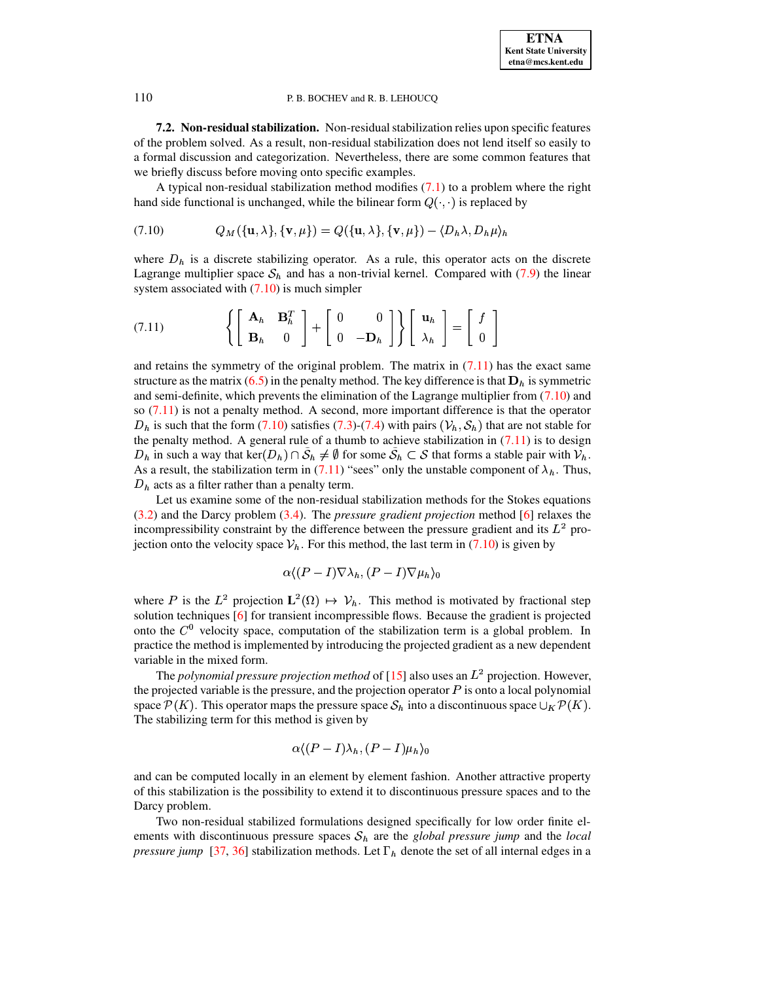7.2. Non-residual stabilization. Non-residual stabilization relies upon specific features of the problem solved. As a result, non-residual stabilization does not lend itself so easily to a formal discussion and categorization. Nevertheless, there are some common features that we briefly discuss before moving onto specific examples.

A typical non-residual stabilization method modifies  $(7.1)$  to a problem where the right hand side functional is unchanged, while the bilinear form  $Q(\cdot, \cdot)$  is replaced by

<span id="page-13-0"></span>
$$
(7.10) \tQ_M(\{\mathbf{u}, \lambda\}, \{\mathbf{v}, \mu\}) = Q(\{\mathbf{u}, \lambda\}, \{\mathbf{v}, \mu\}) - \langle D_h \lambda, D_h \mu \rangle_h
$$

where  $D_h$  is a discrete stabilizing operator. As a rule, this operator acts on the discrete Lagrange multiplier space  $S_h$  and has a non-trivial kernel. Compared with (7.9) the linear system associated with  $(7.10)$  is much simpler

<span id="page-13-1"></span>(7.11) 
$$
\left\{ \begin{bmatrix} \mathbf{A}_h & \mathbf{B}_h^T \\ \mathbf{B}_h & 0 \end{bmatrix} + \begin{bmatrix} 0 & 0 \\ 0 & -\mathbf{D}_h \end{bmatrix} \right\} \begin{bmatrix} \mathbf{u}_h \\ \lambda_h \end{bmatrix} = \begin{bmatrix} f \\ 0 \end{bmatrix}
$$

and retains the symmetry of the original problem. The matrix in  $(7.11)$  has the exact same structure as the matrix (6.5) in the penalty method. The key difference is that  $D_h$  is symmetric and semi-definite, which prevents the elimination of the Lagrange multiplier from  $(7.10)$  and so  $(7.11)$  is not a penalty method. A second, more important difference is that the operator  $D_h$  is such that the form (7.10) satisfies (7.3)-(7.4) with pairs ( $V_h$ ,  $S_h$ ) that are not stable for the penalty method. A general rule of a thumb to achieve stabilization in  $(7.11)$  is to design  $D_h$  in such a way that ker $(D_h) \cap S_h \neq \emptyset$  for some  $S_h \subset S$  that forms a stable pair with  $V_h$ . As a result, the stabilization term in (7.11) "sees" only the unstable component of  $\lambda_h$ . Thus,  $D<sub>h</sub>$  acts as a filter rather than a penalty term.

Let us examine some of the non-residual stabilization methods for the Stokes equations  $(3.2)$  and the Darcy problem  $(3.4)$ . The *pressure gradient projection* method  $[6]$  relaxes the incompressibility constraint by the difference between the pressure gradient and its  $L^2$  projection onto the velocity space  $V_h$ . For this method, the last term in (7.10) is given by

$$
\alpha \langle (P-I) \nabla \lambda_h, (P-I) \nabla \mu_h \rangle_0
$$

where P is the  $L^2$  projection  $L^2(\Omega) \mapsto V_h$ . This method is motivated by fractional step solution techniques [6] for transient incompressible flows. Because the gradient is projected onto the  $C^0$  velocity space, computation of the stabilization term is a global problem. In practice the method is implemented by introducing the projected gradient as a new dependent variable in the mixed form.

The polynomial pressure projection method of [15] also uses an  $L^2$  projection. However, the projected variable is the pressure, and the projection operator  $P$  is onto a local polynomial space  $\mathcal{P}(K)$ . This operator maps the pressure space  $\mathcal{S}_h$  into a discontinuous space  $\cup_K \mathcal{P}(K)$ . The stabilizing term for this method is given by

$$
\alpha \langle (P-I)\lambda_h, (P-I)\mu_h \rangle_0
$$

and can be computed locally in an element by element fashion. Another attractive property of this stabilization is the possibility to extend it to discontinuous pressure spaces and to the Darcy problem.

Two non-residual stabilized formulations designed specifically for low order finite elements with discontinuous pressure spaces  $S_h$  are the *global pressure jump* and the *local pressure jump* [37, 36] stabilization methods. Let  $\Gamma_h$  denote the set of all internal edges in a

110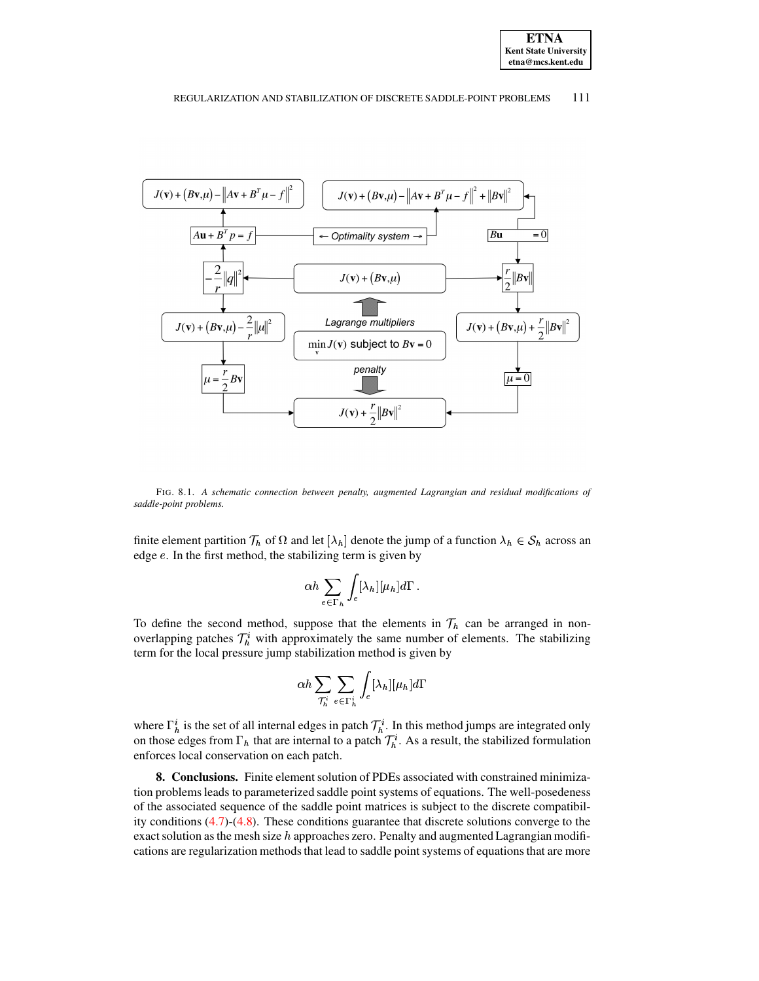

#### REGULARIZATION AND STABILIZATION OF DISCRETE SADDLE-POINT PROBLEMS 111



<span id="page-14-1"></span>FIG. 8.1. *A schematic connection between penalty, augmented Lagrangian and residual modifications of saddle-point problems.*

finite element partition  $\mathcal{T}_h$  of  $\Omega$  and let  $[\lambda_h]$  denote the jump of a function  $\lambda_h \in \mathcal{S}_h$  across an edge  $e$ . In the first method, the stabilizing term is given by

$$
\alpha h \sum_{e\in \Gamma_h} \int_e [\lambda_h] [\mu_h] d\Gamma \, .
$$

To define the second method, suppose that the elements in  $\mathcal{T}_h$  can be arranged in nonoverlapping patches  $\mathcal{T}_h^i$  with approximately the same number of elements. The stabilizing term for the local pressure jump stabilization method is given by

$$
\alpha h \sum_{\mathcal{T}^i_h} \sum_{e \in \Gamma^i_h} \int_e [\lambda_h] [\mu_h] d\Gamma
$$

where  $\Gamma_h^i$  is the set of all internal edges in patch  $\mathcal{T}_h^i$ . In this method jumps are integrated only on those edges from  $\Gamma_h$  that are internal to a patch  $\mathcal{T}_h^i$ . As a result, the stabilized formulation enforces local conservation on each patch.

<span id="page-14-0"></span>**8. Conclusions.** Finite element solution of PDEs associated with constrained minimization problems leads to parameterized saddle point systems of equations. The well-posedeness of the associated sequence of the saddle point matrices is subject to the discrete compatibility conditions [\(4.7\)](#page-5-0)-[\(4.8\)](#page-5-1). These conditions guarantee that discrete solutions converge to the exact solution as the mesh size  $h$  approaches zero. Penalty and augmented Lagrangian modifications are regularization methods that lead to saddle point systems of equations that are more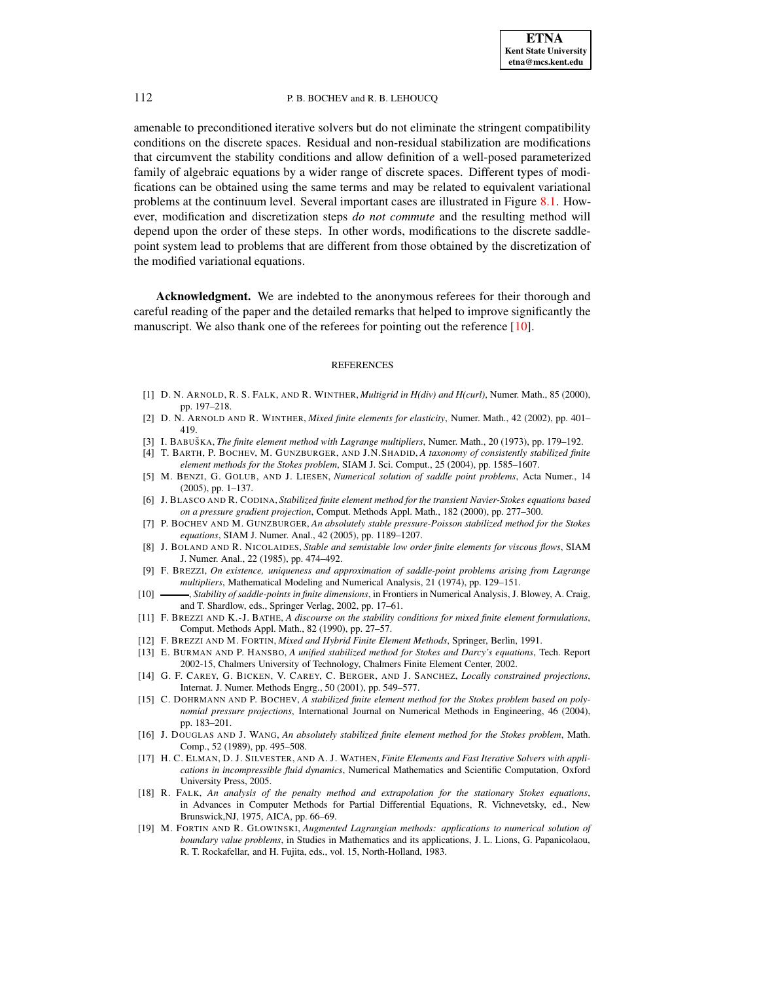amenable to preconditioned iterative solvers but do not eliminate the stringent compatibility conditions on the discrete spaces. Residual and non-residual stabilization are modifications that circumvent the stability conditions and allow definition of a well-posed parameterized family of algebraic equations by a wider range of discrete spaces. Different types of modifications can be obtained using the same terms and may be related to equivalent variational problems at the continuum level. Several important cases are illustrated in Figure [8.1.](#page-14-1) However, modification and discretization steps *do not commute* and the resulting method will depend upon the order of these steps. In other words, modifications to the discrete saddlepoint system lead to problems that are different from those obtained by the discretization of the modified variational equations.

**Acknowledgment.** We are indebted to the anonymous referees for their thorough and careful reading of the paper and the detailed remarks that helped to improve significantly the manuscript. We also thank one of the referees for pointing out the reference [\[10\]](#page-15-6).

#### REFERENCES

- <span id="page-15-11"></span>[1] D. N. ARNOLD, R. S. FALK, AND R. WINTHER, *Multigrid in H(div) and H(curl)*, Numer. Math., 85 (2000), pp. 197–218.
- <span id="page-15-10"></span><span id="page-15-1"></span>[2] D. N. ARNOLD AND R. WINTHER, *Mixed finite elements for elasticity*, Numer. Math., 42 (2002), pp. 401– 419.
- <span id="page-15-14"></span>[3] I. BABUSˇ KA, *The finite element method with Lagrange multipliers*, Numer. Math., 20 (1973), pp. 179–192.
- [4] T. BARTH, P. BOCHEV, M. GUNZBURGER, AND J.N.SHADID, *A taxonomy of consistently stabilized finite element methods for the Stokes problem*, SIAM J. Sci. Comput., 25 (2004), pp. 1585–1607.
- <span id="page-15-17"></span><span id="page-15-4"></span>[5] M. BENZI, G. GOLUB, AND J. LIESEN, *Numerical solution of saddle point problems*, Acta Numer., 14 (2005), pp. 1–137.
- [6] J. BLASCO AND R. CODINA, *Stabilized finite element method for the transient Navier-Stokes equations based on a pressure gradient projection*, Comput. Methods Appl. Math., 182 (2000), pp. 277–300.
- <span id="page-15-16"></span>[7] P. BOCHEV AND M. GUNZBURGER, *An absolutely stable pressure-Poisson stabilized method for the Stokes equations*, SIAM J. Numer. Anal., 42 (2005), pp. 1189–1207.
- <span id="page-15-9"></span>[8] J. BOLAND AND R. NICOLAIDES, *Stable and semistable low order finite elements for viscous flows*, SIAM J. Numer. Anal., 22 (1985), pp. 474–492.
- <span id="page-15-3"></span>[9] F. BREZZI, *On existence, uniqueness and approximation of saddle-point problems arising from Lagrange multipliers*, Mathematical Modeling and Numerical Analysis, 21 (1974), pp. 129–151.
- <span id="page-15-6"></span>[10] , *Stability of saddle-points in finite dimensions*, in Frontiers in Numerical Analysis, J. Blowey, A. Craig, and T. Shardlow, eds., Springer Verlag, 2002, pp. 17–61.
- <span id="page-15-7"></span>[11] F. BREZZI AND K.-J. BATHE, *A discourse on the stability conditions for mixed finite element formulations*, Comput. Methods Appl. Math., 82 (1990), pp. 27–57.
- <span id="page-15-8"></span><span id="page-15-0"></span>[12] F. BREZZI AND M. FORTIN, *Mixed and Hybrid Finite Element Methods*, Springer, Berlin, 1991.
- [13] E. BURMAN AND P. HANSBO, *A unified stabilized method for Stokes and Darcy's equations*, Tech. Report 2002-15, Chalmers University of Technology, Chalmers Finite Element Center, 2002.
- <span id="page-15-2"></span>[14] G. F. CAREY, G. BICKEN, V. CAREY, C. BERGER, AND J. SANCHEZ, *Locally constrained projections*, Internat. J. Numer. Methods Engrg., 50 (2001), pp. 549–577.
- <span id="page-15-18"></span>[15] C. DOHRMANN AND P. BOCHEV, *A stabilized finite element method for the Stokes problem based on polynomial pressure projections*, International Journal on Numerical Methods in Engineering, 46 (2004), pp. 183–201.
- <span id="page-15-15"></span>[16] J. DOUGLAS AND J. WANG, *An absolutely stabilized finite element method for the Stokes problem*, Math. Comp., 52 (1989), pp. 495–508.
- <span id="page-15-5"></span>[17] H. C. ELMAN, D. J. SILVESTER, AND A. J. WATHEN, *Finite Elements and Fast Iterative Solvers with applications in incompressible fluid dynamics*, Numerical Mathematics and Scientific Computation, Oxford University Press, 2005.
- <span id="page-15-12"></span>[18] R. FALK, *An analysis of the penalty method and extrapolation for the stationary Stokes equations*, in Advances in Computer Methods for Partial Differential Equations, R. Vichnevetsky, ed., New Brunswick,NJ, 1975, AICA, pp. 66–69.
- <span id="page-15-13"></span>[19] M. FORTIN AND R. GLOWINSKI, *Augmented Lagrangian methods: applications to numerical solution of boundary value problems*, in Studies in Mathematics and its applications, J. L. Lions, G. Papanicolaou, R. T. Rockafellar, and H. Fujita, eds., vol. 15, North-Holland, 1983.